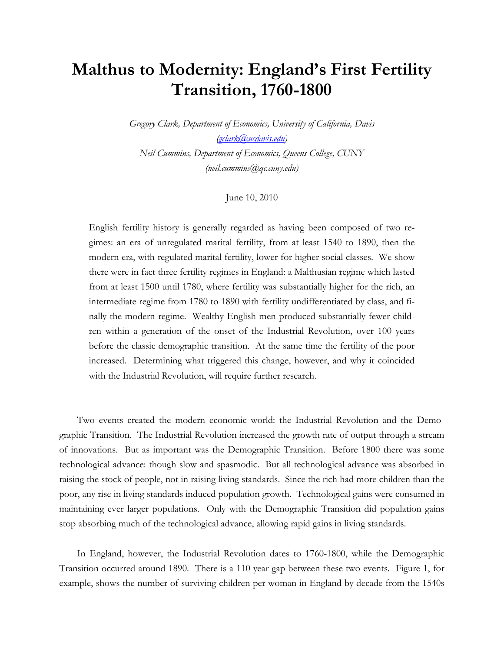# **Malthus to Modernity: England's First Fertility Transition, 1760-1800**

*Gregory Clark, Department of Economics, University of California, Davis (gclark@ucdavis.edu)* 

*Neil Cummins, Department of Economics, Queens College, CUNY (neil.cummins@qc.cuny.edu)* 

June 10, 2010

English fertility history is generally regarded as having been composed of two regimes: an era of unregulated marital fertility, from at least 1540 to 1890, then the modern era, with regulated marital fertility, lower for higher social classes. We show there were in fact three fertility regimes in England: a Malthusian regime which lasted from at least 1500 until 1780, where fertility was substantially higher for the rich, an intermediate regime from 1780 to 1890 with fertility undifferentiated by class, and finally the modern regime. Wealthy English men produced substantially fewer children within a generation of the onset of the Industrial Revolution, over 100 years before the classic demographic transition. At the same time the fertility of the poor increased. Determining what triggered this change, however, and why it coincided with the Industrial Revolution, will require further research.

 Two events created the modern economic world: the Industrial Revolution and the Demographic Transition. The Industrial Revolution increased the growth rate of output through a stream of innovations. But as important was the Demographic Transition. Before 1800 there was some technological advance: though slow and spasmodic. But all technological advance was absorbed in raising the stock of people, not in raising living standards. Since the rich had more children than the poor, any rise in living standards induced population growth. Technological gains were consumed in maintaining ever larger populations. Only with the Demographic Transition did population gains stop absorbing much of the technological advance, allowing rapid gains in living standards.

 In England, however, the Industrial Revolution dates to 1760-1800, while the Demographic Transition occurred around 1890. There is a 110 year gap between these two events. Figure 1, for example, shows the number of surviving children per woman in England by decade from the 1540s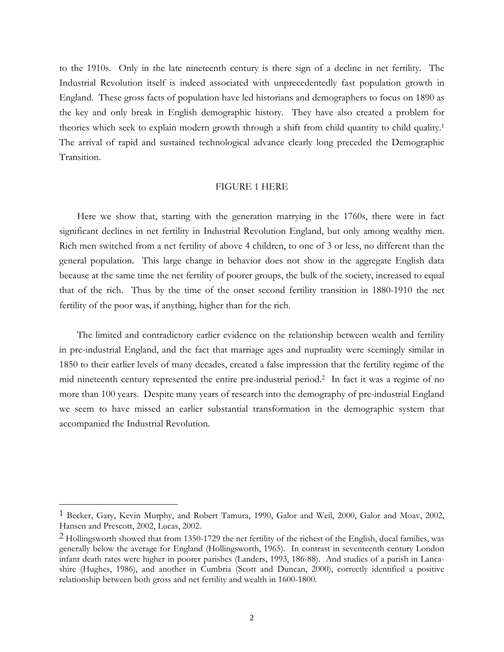to the 1910s. Only in the late nineteenth century is there sign of a decline in net fertility. The Industrial Revolution itself is indeed associated with unprecedentedly fast population growth in England. These gross facts of population have led historians and demographers to focus on 1890 as the key and only break in English demographic history. They have also created a problem for theories which seek to explain modern growth through a shift from child quantity to child quality.1 The arrival of rapid and sustained technological advance clearly long preceded the Demographic Transition.

#### FIGURE 1 HERE

 Here we show that, starting with the generation marrying in the 1760s, there were in fact significant declines in net fertility in Industrial Revolution England, but only among wealthy men. Rich men switched from a net fertility of above 4 children, to one of 3 or less, no different than the general population. This large change in behavior does not show in the aggregate English data because at the same time the net fertility of poorer groups, the bulk of the society, increased to equal that of the rich. Thus by the time of the onset second fertility transition in 1880-1910 the net fertility of the poor was, if anything, higher than for the rich.

 The limited and contradictory earlier evidence on the relationship between wealth and fertility in pre-industrial England, and the fact that marriage ages and nuptuality were seemingly similar in 1850 to their earlier levels of many decades, created a false impression that the fertility regime of the mid nineteenth century represented the entire pre-industrial period.2 In fact it was a regime of no more than 100 years. Despite many years of research into the demography of pre-industrial England we seem to have missed an earlier substantial transformation in the demographic system that accompanied the Industrial Revolution.

 $\overline{a}$ 

<sup>&</sup>lt;sup>1</sup> Becker, Gary, Kevin Murphy, and Robert Tamura, 1990, Galor and Weil, 2000, Galor and Moav, 2002, Hansen and Prescott, 2002, Lucas, 2002.

 $2$  Hollingsworth showed that from 1350-1729 the net fertility of the richest of the English, ducal families, was generally below the average for England (Hollingsworth, 1965). In contrast in seventeenth century London infant death rates were higher in poorer parishes (Landers, 1993, 186-88). And studies of a parish in Lancashire (Hughes, 1986), and another in Cumbria (Scott and Duncan, 2000), correctly identified a positive relationship between both gross and net fertility and wealth in 1600-1800.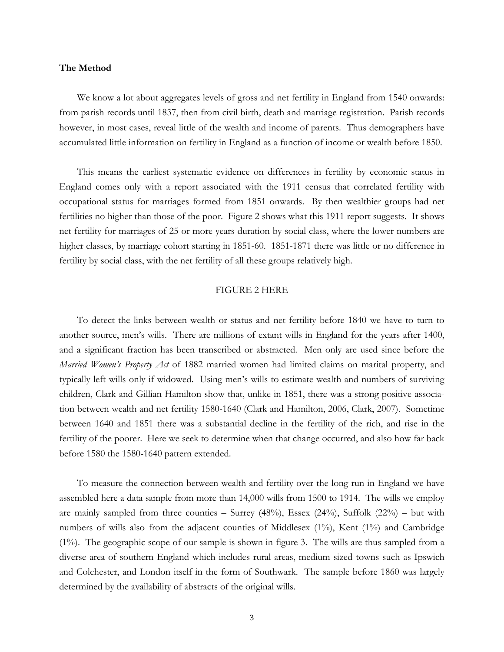#### **The Method**

We know a lot about aggregates levels of gross and net fertility in England from 1540 onwards: from parish records until 1837, then from civil birth, death and marriage registration. Parish records however, in most cases, reveal little of the wealth and income of parents. Thus demographers have accumulated little information on fertility in England as a function of income or wealth before 1850.

 This means the earliest systematic evidence on differences in fertility by economic status in England comes only with a report associated with the 1911 census that correlated fertility with occupational status for marriages formed from 1851 onwards. By then wealthier groups had net fertilities no higher than those of the poor. Figure 2 shows what this 1911 report suggests. It shows net fertility for marriages of 25 or more years duration by social class, where the lower numbers are higher classes, by marriage cohort starting in 1851-60. 1851-1871 there was little or no difference in fertility by social class, with the net fertility of all these groups relatively high.

#### FIGURE 2 HERE

 To detect the links between wealth or status and net fertility before 1840 we have to turn to another source, men's wills. There are millions of extant wills in England for the years after 1400, and a significant fraction has been transcribed or abstracted. Men only are used since before the *Married Women's Property Act* of 1882 married women had limited claims on marital property, and typically left wills only if widowed. Using men's wills to estimate wealth and numbers of surviving children, Clark and Gillian Hamilton show that, unlike in 1851, there was a strong positive association between wealth and net fertility 1580-1640 (Clark and Hamilton, 2006, Clark, 2007). Sometime between 1640 and 1851 there was a substantial decline in the fertility of the rich, and rise in the fertility of the poorer. Here we seek to determine when that change occurred, and also how far back before 1580 the 1580-1640 pattern extended.

 To measure the connection between wealth and fertility over the long run in England we have assembled here a data sample from more than 14,000 wills from 1500 to 1914. The wills we employ are mainly sampled from three counties – Surrey  $(48%)$ , Essex  $(24%)$ , Suffolk  $(22%)$  – but with numbers of wills also from the adjacent counties of Middlesex (1%), Kent (1%) and Cambridge (1%). The geographic scope of our sample is shown in figure 3. The wills are thus sampled from a diverse area of southern England which includes rural areas, medium sized towns such as Ipswich and Colchester, and London itself in the form of Southwark. The sample before 1860 was largely determined by the availability of abstracts of the original wills.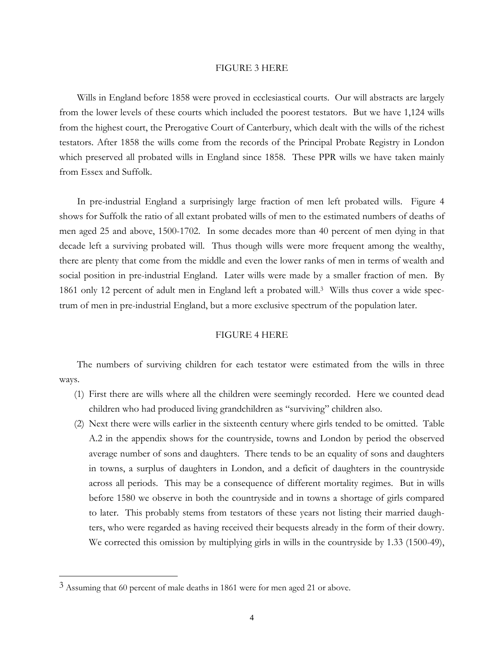#### FIGURE 3 HERE

 Wills in England before 1858 were proved in ecclesiastical courts. Our will abstracts are largely from the lower levels of these courts which included the poorest testators. But we have 1,124 wills from the highest court, the Prerogative Court of Canterbury, which dealt with the wills of the richest testators. After 1858 the wills come from the records of the Principal Probate Registry in London which preserved all probated wills in England since 1858. These PPR wills we have taken mainly from Essex and Suffolk.

 In pre-industrial England a surprisingly large fraction of men left probated wills. Figure 4 shows for Suffolk the ratio of all extant probated wills of men to the estimated numbers of deaths of men aged 25 and above, 1500-1702. In some decades more than 40 percent of men dying in that decade left a surviving probated will. Thus though wills were more frequent among the wealthy, there are plenty that come from the middle and even the lower ranks of men in terms of wealth and social position in pre-industrial England. Later wills were made by a smaller fraction of men. By 1861 only 12 percent of adult men in England left a probated will.3 Wills thus cover a wide spectrum of men in pre-industrial England, but a more exclusive spectrum of the population later.

#### FIGURE 4 HERE

 The numbers of surviving children for each testator were estimated from the wills in three ways.

- (1) First there are wills where all the children were seemingly recorded. Here we counted dead children who had produced living grandchildren as "surviving" children also.
- (2) Next there were wills earlier in the sixteenth century where girls tended to be omitted. Table A.2 in the appendix shows for the countryside, towns and London by period the observed average number of sons and daughters. There tends to be an equality of sons and daughters in towns, a surplus of daughters in London, and a deficit of daughters in the countryside across all periods. This may be a consequence of different mortality regimes. But in wills before 1580 we observe in both the countryside and in towns a shortage of girls compared to later. This probably stems from testators of these years not listing their married daughters, who were regarded as having received their bequests already in the form of their dowry. We corrected this omission by multiplying girls in wills in the countryside by 1.33 (1500-49),

 $\overline{a}$ 

<sup>3</sup> Assuming that 60 percent of male deaths in 1861 were for men aged 21 or above.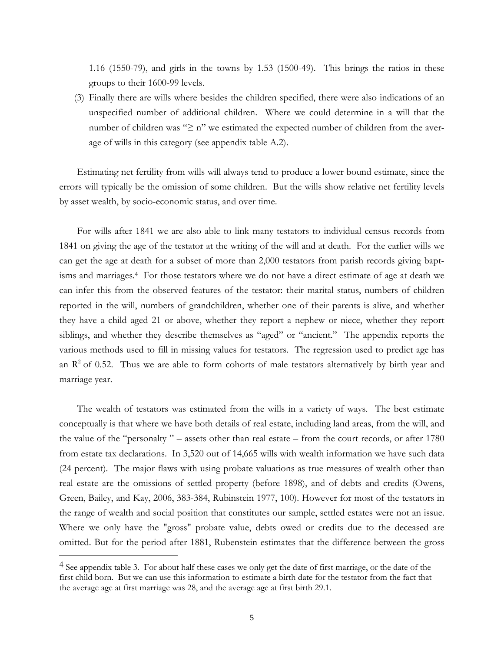1.16 (1550-79), and girls in the towns by 1.53 (1500-49). This brings the ratios in these groups to their 1600-99 levels.

(3) Finally there are wills where besides the children specified, there were also indications of an unspecified number of additional children. Where we could determine in a will that the number of children was "≥ n" we estimated the expected number of children from the average of wills in this category (see appendix table A.2).

 Estimating net fertility from wills will always tend to produce a lower bound estimate, since the errors will typically be the omission of some children. But the wills show relative net fertility levels by asset wealth, by socio-economic status, and over time.

 For wills after 1841 we are also able to link many testators to individual census records from 1841 on giving the age of the testator at the writing of the will and at death. For the earlier wills we can get the age at death for a subset of more than 2,000 testators from parish records giving baptisms and marriages.4 For those testators where we do not have a direct estimate of age at death we can infer this from the observed features of the testator: their marital status, numbers of children reported in the will, numbers of grandchildren, whether one of their parents is alive, and whether they have a child aged 21 or above, whether they report a nephew or niece, whether they report siblings, and whether they describe themselves as "aged" or "ancient." The appendix reports the various methods used to fill in missing values for testators. The regression used to predict age has an  $\mathbb{R}^2$  of 0.52. Thus we are able to form cohorts of male testators alternatively by birth year and marriage year.

 The wealth of testators was estimated from the wills in a variety of ways. The best estimate conceptually is that where we have both details of real estate, including land areas, from the will, and the value of the "personalty " – assets other than real estate – from the court records, or after 1780 from estate tax declarations. In 3,520 out of 14,665 wills with wealth information we have such data (24 percent). The major flaws with using probate valuations as true measures of wealth other than real estate are the omissions of settled property (before 1898), and of debts and credits (Owens, Green, Bailey, and Kay, 2006, 383-384, Rubinstein 1977, 100). However for most of the testators in the range of wealth and social position that constitutes our sample, settled estates were not an issue. Where we only have the "gross" probate value, debts owed or credits due to the deceased are omitted. But for the period after 1881, Rubenstein estimates that the difference between the gross

 $\overline{a}$ 

<sup>&</sup>lt;sup>4</sup> See appendix table 3. For about half these cases we only get the date of first marriage, or the date of the first child born. But we can use this information to estimate a birth date for the testator from the fact that the average age at first marriage was 28, and the average age at first birth 29.1.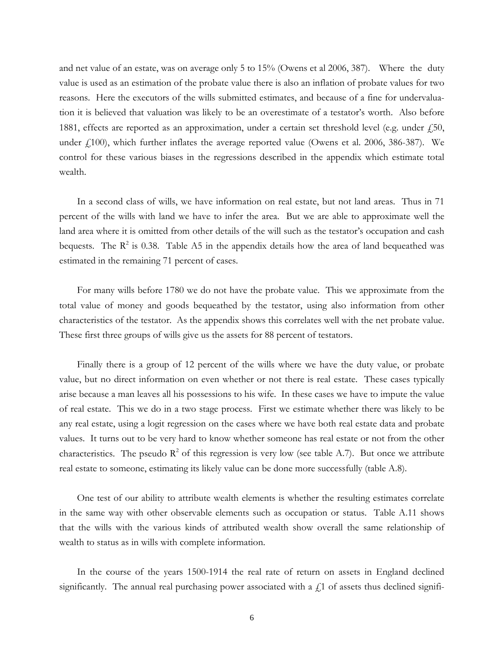and net value of an estate, was on average only 5 to 15% (Owens et al 2006, 387). Where the duty value is used as an estimation of the probate value there is also an inflation of probate values for two reasons. Here the executors of the wills submitted estimates, and because of a fine for undervaluation it is believed that valuation was likely to be an overestimate of a testator's worth. Also before 1881, effects are reported as an approximation, under a certain set threshold level (e.g. under  $\dot{f}$ , 50, under  $f(100)$ , which further inflates the average reported value (Owens et al. 2006, 386-387). We control for these various biases in the regressions described in the appendix which estimate total wealth.

 In a second class of wills, we have information on real estate, but not land areas. Thus in 71 percent of the wills with land we have to infer the area. But we are able to approximate well the land area where it is omitted from other details of the will such as the testator's occupation and cash bequests. The  $R^2$  is 0.38. Table A5 in the appendix details how the area of land bequeathed was estimated in the remaining 71 percent of cases.

 For many wills before 1780 we do not have the probate value. This we approximate from the total value of money and goods bequeathed by the testator, using also information from other characteristics of the testator. As the appendix shows this correlates well with the net probate value. These first three groups of wills give us the assets for 88 percent of testators.

 Finally there is a group of 12 percent of the wills where we have the duty value, or probate value, but no direct information on even whether or not there is real estate. These cases typically arise because a man leaves all his possessions to his wife. In these cases we have to impute the value of real estate. This we do in a two stage process. First we estimate whether there was likely to be any real estate, using a logit regression on the cases where we have both real estate data and probate values. It turns out to be very hard to know whether someone has real estate or not from the other characteristics. The pseudo  $\mathbb{R}^2$  of this regression is very low (see table A.7). But once we attribute real estate to someone, estimating its likely value can be done more successfully (table A.8).

 One test of our ability to attribute wealth elements is whether the resulting estimates correlate in the same way with other observable elements such as occupation or status. Table A.11 shows that the wills with the various kinds of attributed wealth show overall the same relationship of wealth to status as in wills with complete information.

 In the course of the years 1500-1914 the real rate of return on assets in England declined significantly. The annual real purchasing power associated with a  $f<sub>i</sub>1$  of assets thus declined signifi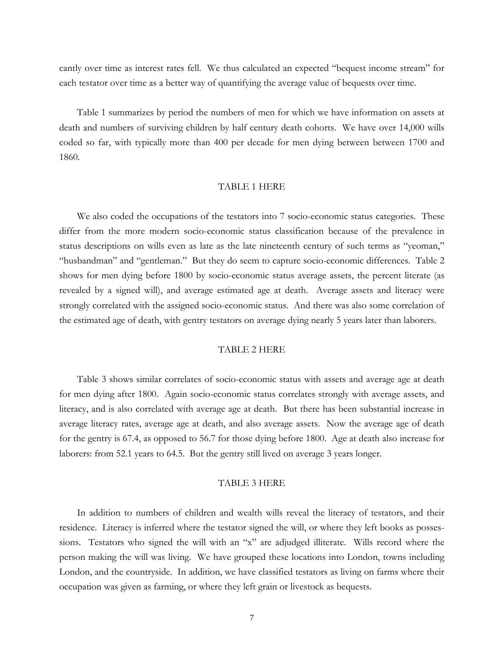cantly over time as interest rates fell. We thus calculated an expected "bequest income stream" for each testator over time as a better way of quantifying the average value of bequests over time.

 Table 1 summarizes by period the numbers of men for which we have information on assets at death and numbers of surviving children by half century death cohorts. We have over 14,000 wills coded so far, with typically more than 400 per decade for men dying between between 1700 and 1860.

#### TABLE 1 HERE

We also coded the occupations of the testators into 7 socio-economic status categories. These differ from the more modern socio-economic status classification because of the prevalence in status descriptions on wills even as late as the late nineteenth century of such terms as "yeoman," "husbandman" and "gentleman." But they do seem to capture socio-economic differences. Table 2 shows for men dying before 1800 by socio-economic status average assets, the percent literate (as revealed by a signed will), and average estimated age at death. Average assets and literacy were strongly correlated with the assigned socio-economic status. And there was also some correlation of the estimated age of death, with gentry testators on average dying nearly 5 years later than laborers.

#### TABLE 2 HERE

 Table 3 shows similar correlates of socio-economic status with assets and average age at death for men dying after 1800. Again socio-economic status correlates strongly with average assets, and literacy, and is also correlated with average age at death. But there has been substantial increase in average literacy rates, average age at death, and also average assets. Now the average age of death for the gentry is 67.4, as opposed to 56.7 for those dying before 1800. Age at death also increase for laborers: from 52.1 years to 64.5. But the gentry still lived on average 3 years longer.

#### TABLE 3 HERE

 In addition to numbers of children and wealth wills reveal the literacy of testators, and their residence. Literacy is inferred where the testator signed the will, or where they left books as possessions. Testators who signed the will with an "x" are adjudged illiterate. Wills record where the person making the will was living. We have grouped these locations into London, towns including London, and the countryside. In addition, we have classified testators as living on farms where their occupation was given as farming, or where they left grain or livestock as bequests.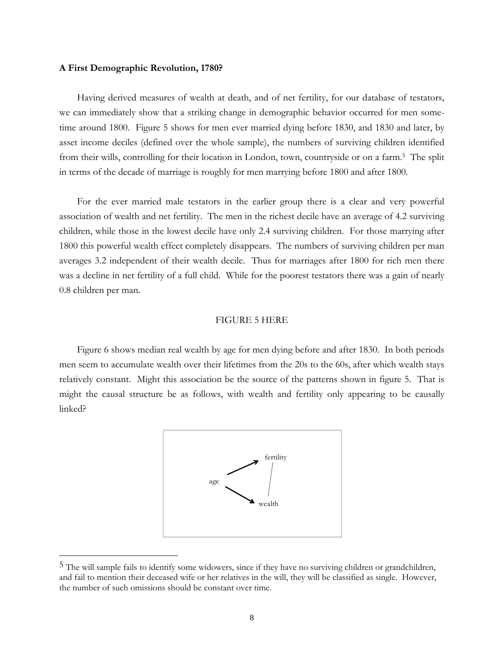#### **A First Demographic Revolution, 1780?**

 $\overline{a}$ 

 Having derived measures of wealth at death, and of net fertility, for our database of testators, we can immediately show that a striking change in demographic behavior occurred for men sometime around 1800. Figure 5 shows for men ever married dying before 1830, and 1830 and later, by asset income deciles (defined over the whole sample), the numbers of surviving children identified from their wills, controlling for their location in London, town, countryside or on a farm.5 The split in terms of the decade of marriage is roughly for men marrying before 1800 and after 1800.

 For the ever married male testators in the earlier group there is a clear and very powerful association of wealth and net fertility. The men in the richest decile have an average of 4.2 surviving children, while those in the lowest decile have only 2.4 surviving children. For those marrying after 1800 this powerful wealth effect completely disappears. The numbers of surviving children per man averages 3.2 independent of their wealth decile. Thus for marriages after 1800 for rich men there was a decline in net fertility of a full child. While for the poorest testators there was a gain of nearly 0.8 children per man.

#### FIGURE 5 HERE

 Figure 6 shows median real wealth by age for men dying before and after 1830. In both periods men seem to accumulate wealth over their lifetimes from the 20s to the 60s, after which wealth stays relatively constant. Might this association be the source of the patterns shown in figure 5. That is might the causal structure be as follows, with wealth and fertility only appearing to be causally linked?



<sup>&</sup>lt;sup>5</sup> The will sample fails to identify some widowers, since if they have no surviving children or grandchildren, and fail to mention their deceased wife or her relatives in the will, they will be classified as single. However, the number of such omissions should be constant over time.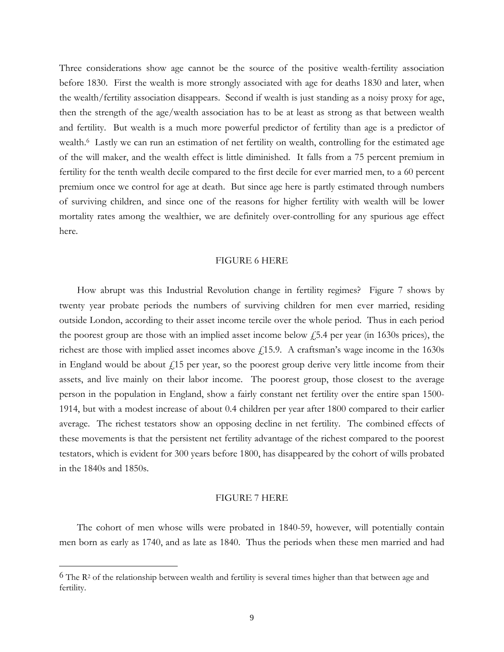Three considerations show age cannot be the source of the positive wealth-fertility association before 1830. First the wealth is more strongly associated with age for deaths 1830 and later, when the wealth/fertility association disappears. Second if wealth is just standing as a noisy proxy for age, then the strength of the age/wealth association has to be at least as strong as that between wealth and fertility. But wealth is a much more powerful predictor of fertility than age is a predictor of wealth.<sup>6</sup> Lastly we can run an estimation of net fertility on wealth, controlling for the estimated age of the will maker, and the wealth effect is little diminished. It falls from a 75 percent premium in fertility for the tenth wealth decile compared to the first decile for ever married men, to a 60 percent premium once we control for age at death. But since age here is partly estimated through numbers of surviving children, and since one of the reasons for higher fertility with wealth will be lower mortality rates among the wealthier, we are definitely over-controlling for any spurious age effect here.

#### FIGURE 6 HERE

 How abrupt was this Industrial Revolution change in fertility regimes? Figure 7 shows by twenty year probate periods the numbers of surviving children for men ever married, residing outside London, according to their asset income tercile over the whole period. Thus in each period the poorest group are those with an implied asset income below  $\frac{1}{2}$ , the state find 1630s prices), the richest are those with implied asset incomes above  $f(15.9.$  A craftsman's wage income in the 1630s in England would be about  $f(15)$  per year, so the poorest group derive very little income from their assets, and live mainly on their labor income. The poorest group, those closest to the average person in the population in England, show a fairly constant net fertility over the entire span 1500- 1914, but with a modest increase of about 0.4 children per year after 1800 compared to their earlier average. The richest testators show an opposing decline in net fertility. The combined effects of these movements is that the persistent net fertility advantage of the richest compared to the poorest testators, which is evident for 300 years before 1800, has disappeared by the cohort of wills probated in the 1840s and 1850s.

#### FIGURE 7 HERE

 The cohort of men whose wills were probated in 1840-59, however, will potentially contain men born as early as 1740, and as late as 1840. Thus the periods when these men married and had

 $\overline{a}$ 

<sup>&</sup>lt;sup>6</sup> The R<sup>2</sup> of the relationship between wealth and fertility is several times higher than that between age and fertility.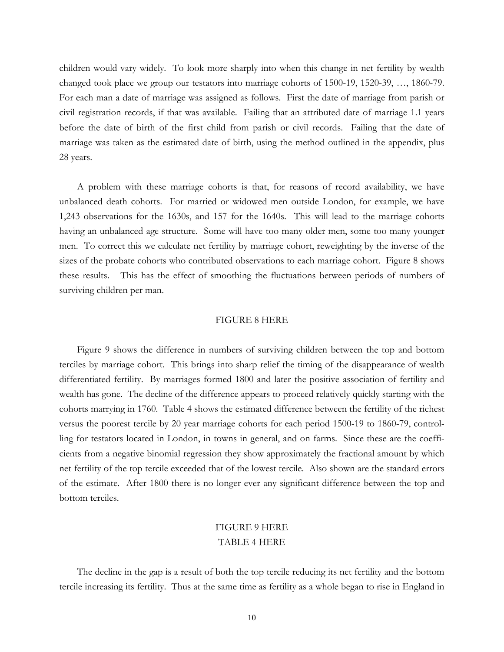children would vary widely. To look more sharply into when this change in net fertility by wealth changed took place we group our testators into marriage cohorts of 1500-19, 1520-39, …, 1860-79. For each man a date of marriage was assigned as follows. First the date of marriage from parish or civil registration records, if that was available. Failing that an attributed date of marriage 1.1 years before the date of birth of the first child from parish or civil records. Failing that the date of marriage was taken as the estimated date of birth, using the method outlined in the appendix, plus 28 years.

 A problem with these marriage cohorts is that, for reasons of record availability, we have unbalanced death cohorts. For married or widowed men outside London, for example, we have 1,243 observations for the 1630s, and 157 for the 1640s. This will lead to the marriage cohorts having an unbalanced age structure. Some will have too many older men, some too many younger men. To correct this we calculate net fertility by marriage cohort, reweighting by the inverse of the sizes of the probate cohorts who contributed observations to each marriage cohort. Figure 8 shows these results. This has the effect of smoothing the fluctuations between periods of numbers of surviving children per man.

#### FIGURE 8 HERE

 Figure 9 shows the difference in numbers of surviving children between the top and bottom terciles by marriage cohort. This brings into sharp relief the timing of the disappearance of wealth differentiated fertility. By marriages formed 1800 and later the positive association of fertility and wealth has gone. The decline of the difference appears to proceed relatively quickly starting with the cohorts marrying in 1760. Table 4 shows the estimated difference between the fertility of the richest versus the poorest tercile by 20 year marriage cohorts for each period 1500-19 to 1860-79, controlling for testators located in London, in towns in general, and on farms. Since these are the coefficients from a negative binomial regression they show approximately the fractional amount by which net fertility of the top tercile exceeded that of the lowest tercile. Also shown are the standard errors of the estimate. After 1800 there is no longer ever any significant difference between the top and bottom terciles.

### FIGURE 9 HERE TABLE 4 HERE

The decline in the gap is a result of both the top tercile reducing its net fertility and the bottom tercile increasing its fertility. Thus at the same time as fertility as a whole began to rise in England in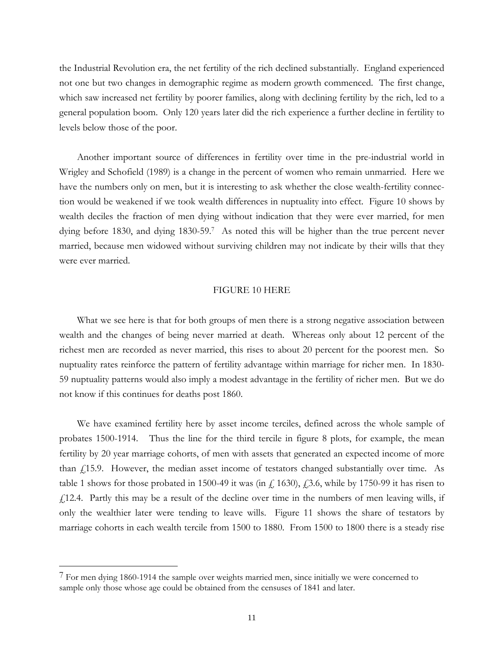the Industrial Revolution era, the net fertility of the rich declined substantially. England experienced not one but two changes in demographic regime as modern growth commenced. The first change, which saw increased net fertility by poorer families, along with declining fertility by the rich, led to a general population boom. Only 120 years later did the rich experience a further decline in fertility to levels below those of the poor.

 Another important source of differences in fertility over time in the pre-industrial world in Wrigley and Schofield (1989) is a change in the percent of women who remain unmarried. Here we have the numbers only on men, but it is interesting to ask whether the close wealth-fertility connection would be weakened if we took wealth differences in nuptuality into effect. Figure 10 shows by wealth deciles the fraction of men dying without indication that they were ever married, for men dying before 1830, and dying 1830-59.7 As noted this will be higher than the true percent never married, because men widowed without surviving children may not indicate by their wills that they were ever married.

#### FIGURE 10 HERE

 What we see here is that for both groups of men there is a strong negative association between wealth and the changes of being never married at death. Whereas only about 12 percent of the richest men are recorded as never married, this rises to about 20 percent for the poorest men. So nuptuality rates reinforce the pattern of fertility advantage within marriage for richer men. In 1830- 59 nuptuality patterns would also imply a modest advantage in the fertility of richer men. But we do not know if this continues for deaths post 1860.

 We have examined fertility here by asset income terciles, defined across the whole sample of probates 1500-1914. Thus the line for the third tercile in figure 8 plots, for example, the mean fertility by 20 year marriage cohorts, of men with assets that generated an expected income of more than  $f<sub>i</sub>15.9$ . However, the median asset income of testators changed substantially over time. As table 1 shows for those probated in 1500-49 it was (in  $f_a$  1630),  $f_a$ 3.6, while by 1750-99 it has risen to  $f<sub>1</sub>$ 12.4. Partly this may be a result of the decline over time in the numbers of men leaving wills, if only the wealthier later were tending to leave wills. Figure 11 shows the share of testators by marriage cohorts in each wealth tercile from 1500 to 1880. From 1500 to 1800 there is a steady rise

 $\overline{a}$ 

 $7$  For men dying 1860-1914 the sample over weights married men, since initially we were concerned to sample only those whose age could be obtained from the censuses of 1841 and later.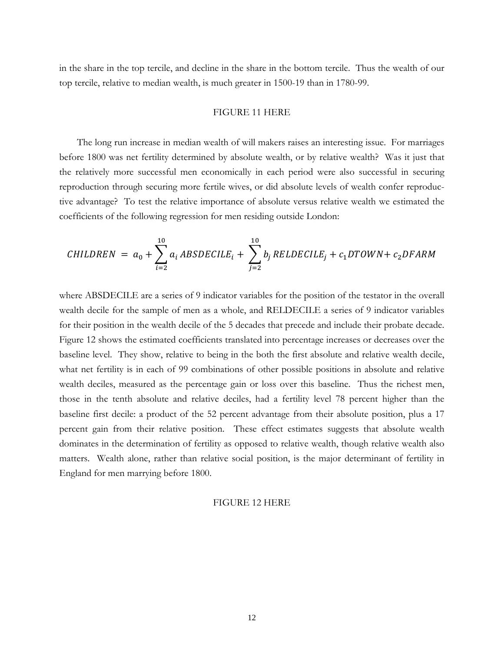in the share in the top tercile, and decline in the share in the bottom tercile. Thus the wealth of our top tercile, relative to median wealth, is much greater in 1500-19 than in 1780-99.

#### FIGURE 11 HERE

 The long run increase in median wealth of will makers raises an interesting issue. For marriages before 1800 was net fertility determined by absolute wealth, or by relative wealth? Was it just that the relatively more successful men economically in each period were also successful in securing reproduction through securing more fertile wives, or did absolute levels of wealth confer reproductive advantage? To test the relative importance of absolute versus relative wealth we estimated the coefficients of the following regression for men residing outside London:

$$
CHILDREN = a_0 + \sum_{i=2}^{10} a_i ABSDECILE_i + \sum_{j=2}^{10} b_j RELDECILE_j + c_1 DTOWN + c_2DFARM
$$

where ABSDECILE are a series of 9 indicator variables for the position of the testator in the overall wealth decile for the sample of men as a whole, and RELDECILE a series of 9 indicator variables for their position in the wealth decile of the 5 decades that precede and include their probate decade. Figure 12 shows the estimated coefficients translated into percentage increases or decreases over the baseline level. They show, relative to being in the both the first absolute and relative wealth decile, what net fertility is in each of 99 combinations of other possible positions in absolute and relative wealth deciles, measured as the percentage gain or loss over this baseline. Thus the richest men, those in the tenth absolute and relative deciles, had a fertility level 78 percent higher than the baseline first decile: a product of the 52 percent advantage from their absolute position, plus a 17 percent gain from their relative position. These effect estimates suggests that absolute wealth dominates in the determination of fertility as opposed to relative wealth, though relative wealth also matters. Wealth alone, rather than relative social position, is the major determinant of fertility in England for men marrying before 1800.

#### FIGURE 12 HERE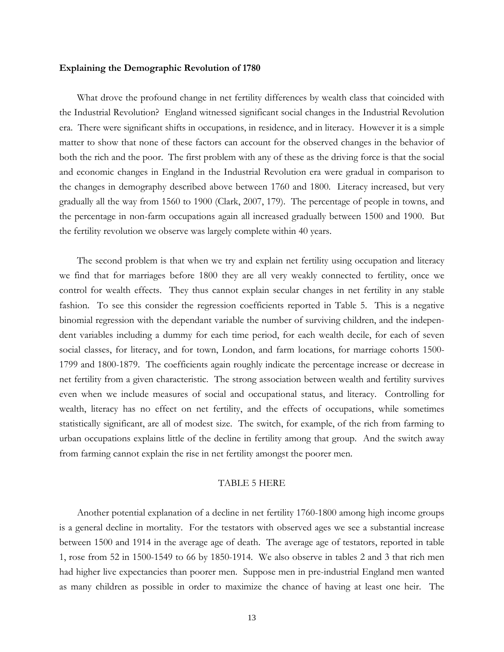#### **Explaining the Demographic Revolution of 1780**

What drove the profound change in net fertility differences by wealth class that coincided with the Industrial Revolution? England witnessed significant social changes in the Industrial Revolution era. There were significant shifts in occupations, in residence, and in literacy. However it is a simple matter to show that none of these factors can account for the observed changes in the behavior of both the rich and the poor. The first problem with any of these as the driving force is that the social and economic changes in England in the Industrial Revolution era were gradual in comparison to the changes in demography described above between 1760 and 1800. Literacy increased, but very gradually all the way from 1560 to 1900 (Clark, 2007, 179). The percentage of people in towns, and the percentage in non-farm occupations again all increased gradually between 1500 and 1900. But the fertility revolution we observe was largely complete within 40 years.

 The second problem is that when we try and explain net fertility using occupation and literacy we find that for marriages before 1800 they are all very weakly connected to fertility, once we control for wealth effects. They thus cannot explain secular changes in net fertility in any stable fashion. To see this consider the regression coefficients reported in Table 5. This is a negative binomial regression with the dependant variable the number of surviving children, and the independent variables including a dummy for each time period, for each wealth decile, for each of seven social classes, for literacy, and for town, London, and farm locations, for marriage cohorts 1500- 1799 and 1800-1879. The coefficients again roughly indicate the percentage increase or decrease in net fertility from a given characteristic. The strong association between wealth and fertility survives even when we include measures of social and occupational status, and literacy. Controlling for wealth, literacy has no effect on net fertility, and the effects of occupations, while sometimes statistically significant, are all of modest size. The switch, for example, of the rich from farming to urban occupations explains little of the decline in fertility among that group. And the switch away from farming cannot explain the rise in net fertility amongst the poorer men.

#### TABLE 5 HERE

Another potential explanation of a decline in net fertility 1760-1800 among high income groups is a general decline in mortality. For the testators with observed ages we see a substantial increase between 1500 and 1914 in the average age of death. The average age of testators, reported in table 1, rose from 52 in 1500-1549 to 66 by 1850-1914. We also observe in tables 2 and 3 that rich men had higher live expectancies than poorer men. Suppose men in pre-industrial England men wanted as many children as possible in order to maximize the chance of having at least one heir. The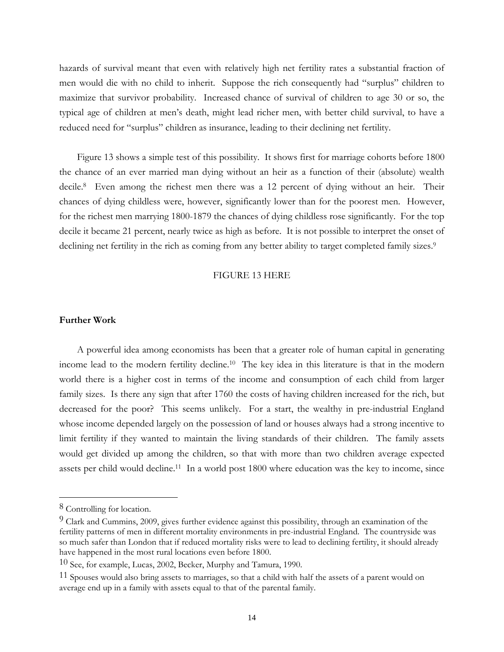hazards of survival meant that even with relatively high net fertility rates a substantial fraction of men would die with no child to inherit. Suppose the rich consequently had "surplus" children to maximize that survivor probability. Increased chance of survival of children to age 30 or so, the typical age of children at men's death, might lead richer men, with better child survival, to have a reduced need for "surplus" children as insurance, leading to their declining net fertility.

 Figure 13 shows a simple test of this possibility. It shows first for marriage cohorts before 1800 the chance of an ever married man dying without an heir as a function of their (absolute) wealth decile.8 Even among the richest men there was a 12 percent of dying without an heir. Their chances of dying childless were, however, significantly lower than for the poorest men. However, for the richest men marrying 1800-1879 the chances of dying childless rose significantly. For the top decile it became 21 percent, nearly twice as high as before. It is not possible to interpret the onset of declining net fertility in the rich as coming from any better ability to target completed family sizes.<sup>9</sup>

#### FIGURE 13 HERE

#### **Further Work**

 A powerful idea among economists has been that a greater role of human capital in generating income lead to the modern fertility decline.10 The key idea in this literature is that in the modern world there is a higher cost in terms of the income and consumption of each child from larger family sizes. Is there any sign that after 1760 the costs of having children increased for the rich, but decreased for the poor? This seems unlikely. For a start, the wealthy in pre-industrial England whose income depended largely on the possession of land or houses always had a strong incentive to limit fertility if they wanted to maintain the living standards of their children. The family assets would get divided up among the children, so that with more than two children average expected assets per child would decline.11 In a world post 1800 where education was the key to income, since

l

<sup>8</sup> Controlling for location.

<sup>&</sup>lt;sup>9</sup> Clark and Cummins, 2009, gives further evidence against this possibility, through an examination of the fertility patterns of men in different mortality environments in pre-industrial England. The countryside was so much safer than London that if reduced mortality risks were to lead to declining fertility, it should already have happened in the most rural locations even before 1800.

 $10$  See, for example, Lucas, 2002, Becker, Murphy and Tamura, 1990.

<sup>&</sup>lt;sup>11</sup> Spouses would also bring assets to marriages, so that a child with half the assets of a parent would on average end up in a family with assets equal to that of the parental family.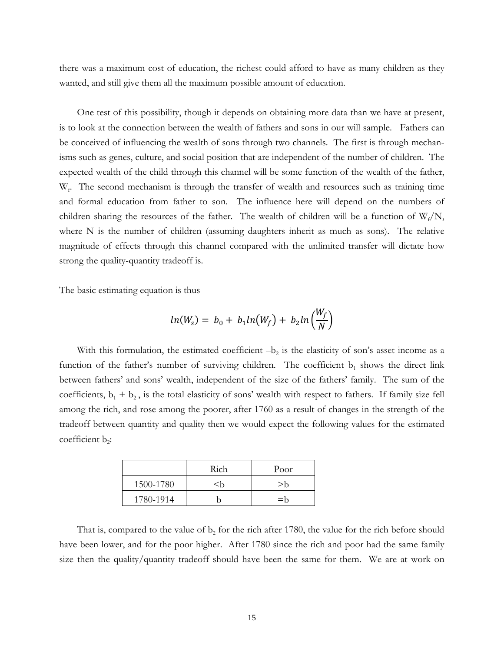there was a maximum cost of education, the richest could afford to have as many children as they wanted, and still give them all the maximum possible amount of education.

 One test of this possibility, though it depends on obtaining more data than we have at present, is to look at the connection between the wealth of fathers and sons in our will sample. Fathers can be conceived of influencing the wealth of sons through two channels. The first is through mechanisms such as genes, culture, and social position that are independent of the number of children. The expected wealth of the child through this channel will be some function of the wealth of the father, W<sub>f</sub>. The second mechanism is through the transfer of wealth and resources such as training time and formal education from father to son. The influence here will depend on the numbers of children sharing the resources of the father. The wealth of children will be a function of  $W_f/N$ , where N is the number of children (assuming daughters inherit as much as sons). The relative magnitude of effects through this channel compared with the unlimited transfer will dictate how strong the quality-quantity tradeoff is.

The basic estimating equation is thus

$$
ln(WS) = b0 + b1ln(Wf) + b2ln(\frac{Wf}{N})
$$

With this formulation, the estimated coefficient  $-b_2$  is the elasticity of son's asset income as a function of the father's number of surviving children. The coefficient  $b_1$  shows the direct link between fathers' and sons' wealth, independent of the size of the fathers' family. The sum of the coefficients,  $b_1 + b_2$ , is the total elasticity of sons' wealth with respect to fathers. If family size fell among the rich, and rose among the poorer, after 1760 as a result of changes in the strength of the tradeoff between quantity and quality then we would expect the following values for the estimated coefficient  $b_2$ :

|           | Rich                                       | Poor  |
|-----------|--------------------------------------------|-------|
| 1500-1780 | <h< td=""><td><math>&gt;</math>h</td></h<> | $>$ h |
| 1780-1914 |                                            | $=$ h |

That is, compared to the value of  $b_2$  for the rich after 1780, the value for the rich before should have been lower, and for the poor higher. After 1780 since the rich and poor had the same family size then the quality/quantity tradeoff should have been the same for them. We are at work on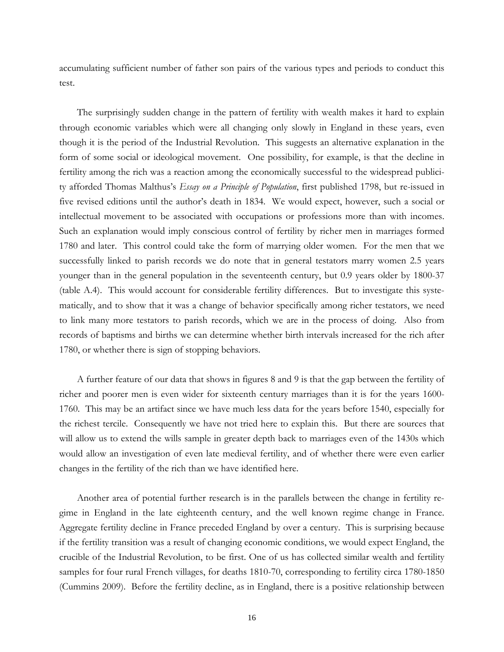accumulating sufficient number of father son pairs of the various types and periods to conduct this test.

 The surprisingly sudden change in the pattern of fertility with wealth makes it hard to explain through economic variables which were all changing only slowly in England in these years, even though it is the period of the Industrial Revolution. This suggests an alternative explanation in the form of some social or ideological movement. One possibility, for example, is that the decline in fertility among the rich was a reaction among the economically successful to the widespread publicity afforded Thomas Malthus's *Essay on a Principle of Population*, first published 1798, but re-issued in five revised editions until the author's death in 1834. We would expect, however, such a social or intellectual movement to be associated with occupations or professions more than with incomes. Such an explanation would imply conscious control of fertility by richer men in marriages formed 1780 and later. This control could take the form of marrying older women. For the men that we successfully linked to parish records we do note that in general testators marry women 2.5 years younger than in the general population in the seventeenth century, but 0.9 years older by 1800-37 (table A.4). This would account for considerable fertility differences. But to investigate this systematically, and to show that it was a change of behavior specifically among richer testators, we need to link many more testators to parish records, which we are in the process of doing. Also from records of baptisms and births we can determine whether birth intervals increased for the rich after 1780, or whether there is sign of stopping behaviors.

 A further feature of our data that shows in figures 8 and 9 is that the gap between the fertility of richer and poorer men is even wider for sixteenth century marriages than it is for the years 1600- 1760. This may be an artifact since we have much less data for the years before 1540, especially for the richest tercile. Consequently we have not tried here to explain this. But there are sources that will allow us to extend the wills sample in greater depth back to marriages even of the 1430s which would allow an investigation of even late medieval fertility, and of whether there were even earlier changes in the fertility of the rich than we have identified here.

Another area of potential further research is in the parallels between the change in fertility regime in England in the late eighteenth century, and the well known regime change in France. Aggregate fertility decline in France preceded England by over a century. This is surprising because if the fertility transition was a result of changing economic conditions, we would expect England, the crucible of the Industrial Revolution, to be first. One of us has collected similar wealth and fertility samples for four rural French villages, for deaths 1810-70, corresponding to fertility circa 1780-1850 (Cummins 2009). Before the fertility decline, as in England, there is a positive relationship between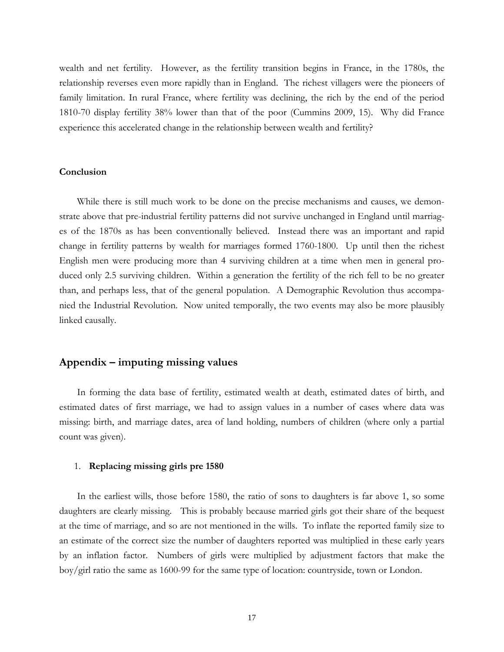wealth and net fertility. However, as the fertility transition begins in France, in the 1780s, the relationship reverses even more rapidly than in England. The richest villagers were the pioneers of family limitation. In rural France, where fertility was declining, the rich by the end of the period 1810-70 display fertility 38% lower than that of the poor (Cummins 2009, 15). Why did France experience this accelerated change in the relationship between wealth and fertility?

#### **Conclusion**

 While there is still much work to be done on the precise mechanisms and causes, we demonstrate above that pre-industrial fertility patterns did not survive unchanged in England until marriages of the 1870s as has been conventionally believed. Instead there was an important and rapid change in fertility patterns by wealth for marriages formed 1760-1800. Up until then the richest English men were producing more than 4 surviving children at a time when men in general produced only 2.5 surviving children. Within a generation the fertility of the rich fell to be no greater than, and perhaps less, that of the general population. A Demographic Revolution thus accompanied the Industrial Revolution. Now united temporally, the two events may also be more plausibly linked causally.

#### **Appendix – imputing missing values**

In forming the data base of fertility, estimated wealth at death, estimated dates of birth, and estimated dates of first marriage, we had to assign values in a number of cases where data was missing: birth, and marriage dates, area of land holding, numbers of children (where only a partial count was given).

#### 1. **Replacing missing girls pre 1580**

 In the earliest wills, those before 1580, the ratio of sons to daughters is far above 1, so some daughters are clearly missing. This is probably because married girls got their share of the bequest at the time of marriage, and so are not mentioned in the wills. To inflate the reported family size to an estimate of the correct size the number of daughters reported was multiplied in these early years by an inflation factor. Numbers of girls were multiplied by adjustment factors that make the boy/girl ratio the same as 1600-99 for the same type of location: countryside, town or London.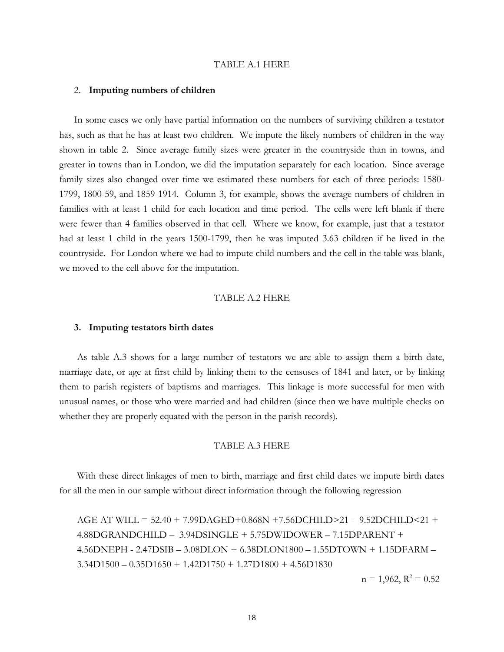#### TABLE A.1 HERE

#### 2. **Imputing numbers of children**

In some cases we only have partial information on the numbers of surviving children a testator has, such as that he has at least two children. We impute the likely numbers of children in the way shown in table 2. Since average family sizes were greater in the countryside than in towns, and greater in towns than in London, we did the imputation separately for each location. Since average family sizes also changed over time we estimated these numbers for each of three periods: 1580- 1799, 1800-59, and 1859-1914. Column 3, for example, shows the average numbers of children in families with at least 1 child for each location and time period. The cells were left blank if there were fewer than 4 families observed in that cell. Where we know, for example, just that a testator had at least 1 child in the years 1500-1799, then he was imputed 3.63 children if he lived in the countryside. For London where we had to impute child numbers and the cell in the table was blank, we moved to the cell above for the imputation.

#### TABLE A.2 HERE

#### **3. Imputing testators birth dates**

 As table A.3 shows for a large number of testators we are able to assign them a birth date, marriage date, or age at first child by linking them to the censuses of 1841 and later, or by linking them to parish registers of baptisms and marriages. This linkage is more successful for men with unusual names, or those who were married and had children (since then we have multiple checks on whether they are properly equated with the person in the parish records).

#### TABLE A.3 HERE

 With these direct linkages of men to birth, marriage and first child dates we impute birth dates for all the men in our sample without direct information through the following regression

AGE AT WILL = 52.40 + 7.99DAGED+0.868N +7.56DCHILD>21 - 9.52DCHILD<21 + 4.88DGRANDCHILD – 3.94DSINGLE + 5.75DWIDOWER – 7.15DPARENT + 4.56DNEPH - 2.47DSIB – 3.08DLON + 6.38DLON1800 – 1.55DTOWN + 1.15DFARM –  $3.34D1500 - 0.35D1650 + 1.42D1750 + 1.27D1800 + 4.56D1830$ 

 $n = 1,962, R^2 = 0.52$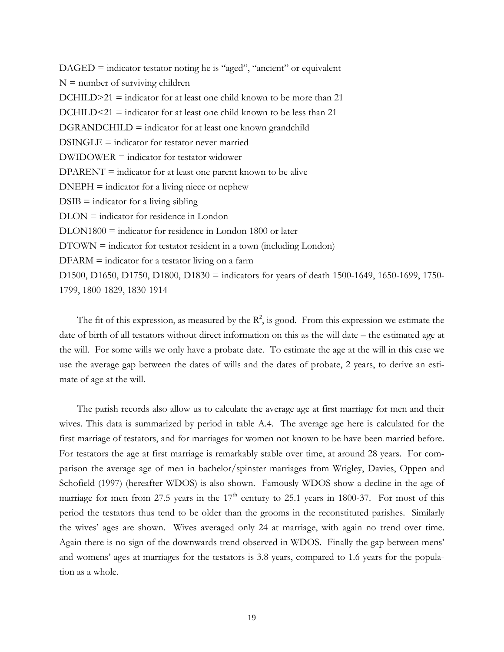$DAGED$  = indicator testator noting he is "aged", "ancient" or equivalent  $N =$  number of surviving children  $DCHILD>21 =$  indicator for at least one child known to be more than 21  $DCHILD<sub>21</sub> = indicator for at least one child known to be less than 21$ DGRANDCHILD = indicator for at least one known grandchild  $DSINGLE =$  indicator for testator never married DWIDOWER = indicator for testator widower  $DPARENT = indicator$  for at least one parent known to be alive  $DNEPH = indicator for a living nice or nephew$  $DSIB = \text{indicator}$  for a living sibling DLON = indicator for residence in London DLON1800 = indicator for residence in London 1800 or later  $DTOWN = indicator$  for testator resident in a town (including London)  $DFARM = \text{indicator}$  for a testator living on a farm D1500, D1650, D1750, D1800, D1830 = indicators for years of death 1500-1649, 1650-1699, 1750- 1799, 1800-1829, 1830-1914

The fit of this expression, as measured by the  $\mathbb{R}^2$ , is good. From this expression we estimate the date of birth of all testators without direct information on this as the will date – the estimated age at the will. For some wills we only have a probate date. To estimate the age at the will in this case we use the average gap between the dates of wills and the dates of probate, 2 years, to derive an estimate of age at the will.

 The parish records also allow us to calculate the average age at first marriage for men and their wives. This data is summarized by period in table A.4. The average age here is calculated for the first marriage of testators, and for marriages for women not known to be have been married before. For testators the age at first marriage is remarkably stable over time, at around 28 years. For comparison the average age of men in bachelor/spinster marriages from Wrigley, Davies, Oppen and Schofield (1997) (hereafter WDOS) is also shown. Famously WDOS show a decline in the age of marriage for men from 27.5 years in the  $17<sup>th</sup>$  century to 25.1 years in 1800-37. For most of this period the testators thus tend to be older than the grooms in the reconstituted parishes. Similarly the wives' ages are shown. Wives averaged only 24 at marriage, with again no trend over time. Again there is no sign of the downwards trend observed in WDOS. Finally the gap between mens' and womens' ages at marriages for the testators is 3.8 years, compared to 1.6 years for the population as a whole.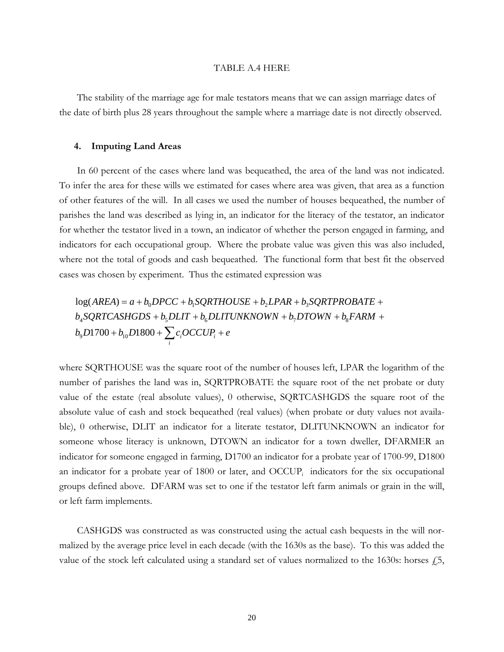#### TABLE A.4 HERE

 The stability of the marriage age for male testators means that we can assign marriage dates of the date of birth plus 28 years throughout the sample where a marriage date is not directly observed.

#### **4. Imputing Land Areas**

 In 60 percent of the cases where land was bequeathed, the area of the land was not indicated. To infer the area for these wills we estimated for cases where area was given, that area as a function of other features of the will. In all cases we used the number of houses bequeathed, the number of parishes the land was described as lying in, an indicator for the literacy of the testator, an indicator for whether the testator lived in a town, an indicator of whether the person engaged in farming, and indicators for each occupational group. Where the probate value was given this was also included, where not the total of goods and cash bequeathed. The functional form that best fit the observed cases was chosen by experiment. Thus the estimated expression was

 $+ b_{10}D1800 + \sum_i c_i OCCUP_i +$  $b_4$ SQRTCASHGDS +  $b_5$ DLIT +  $b_6$ DLITUNKNOWN +  $b_7$ DTOWN +  $b_8$ FARM +  $log(AREA) = a + b_0 DPCC + b_1 SQRTHOUSE + b_2LPAR + b_3SQRTPROBATE +$  $b_9D1700 + b_{10}D1800 + \sum c_i OCCUP_i + e$ 

where SQRTHOUSE was the square root of the number of houses left, LPAR the logarithm of the number of parishes the land was in, SQRTPROBATE the square root of the net probate or duty value of the estate (real absolute values), 0 otherwise, SQRTCASHGDS the square root of the absolute value of cash and stock bequeathed (real values) (when probate or duty values not available), 0 otherwise, DLIT an indicator for a literate testator, DLITUNKNOWN an indicator for someone whose literacy is unknown, DTOWN an indicator for a town dweller, DFARMER an indicator for someone engaged in farming, D1700 an indicator for a probate year of 1700-99, D1800 an indicator for a probate year of 1800 or later, and OCCUP<sub>i</sub> indicators for the six occupational groups defined above. DFARM was set to one if the testator left farm animals or grain in the will, or left farm implements.

CASHGDS was constructed as was constructed using the actual cash bequests in the will normalized by the average price level in each decade (with the 1630s as the base). To this was added the value of the stock left calculated using a standard set of values normalized to the 1630s: horses  $\hat{f}$ , 5,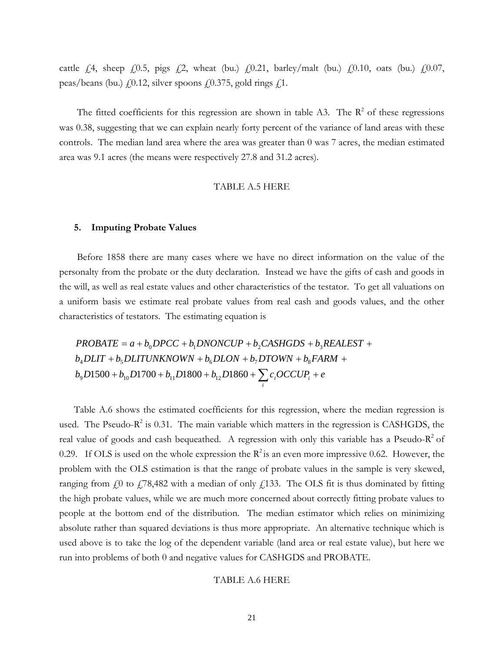cattle  $\dot{f}$ , sheep  $\dot{f}$ , 0.5, pigs  $\dot{f}$ , 2, wheat (bu.)  $\dot{f}$ , 0.21, barley/malt (bu.)  $\dot{f}$ , 0.10, oats (bu.)  $\dot{f}$ , 0.07, peas/beans (bu.)  $f(0.12)$ , silver spoons  $f(0.375)$ , gold rings  $f(1)$ .

The fitted coefficients for this regression are shown in table A3. The  $\mathbb{R}^2$  of these regressions was 0.38, suggesting that we can explain nearly forty percent of the variance of land areas with these controls. The median land area where the area was greater than 0 was 7 acres, the median estimated area was 9.1 acres (the means were respectively 27.8 and 31.2 acres).

#### TABLE A.5 HERE

#### **5. Imputing Probate Values**

 Before 1858 there are many cases where we have no direct information on the value of the personalty from the probate or the duty declaration. Instead we have the gifts of cash and goods in the will, as well as real estate values and other characteristics of the testator. To get all valuations on a uniform basis we estimate real probate values from real cash and goods values, and the other characteristics of testators. The estimating equation is

 $+ b_{10}D1700 + b_{11}D1800 + b_{12}D1860 + \sum_i c_i OCCUP_i +$  $b_4$ DLIT +  $b_5$ DLITUNKNOWN +  $b_6$ DLON +  $b_7$ DTOWN +  $b_8$ FARM +  $PROBATE = a + b_0 DPCC + b_1 DNONCUP + b_2 CASHGDS + b_3 REALEST +$  $b_9D1500 + b_{10}D1700 + b_{11}D1800 + b_{12}D1860 + \sum c_i OCCUP_i + e$ 

Table A.6 shows the estimated coefficients for this regression, where the median regression is used. The Pseudo- $R^2$  is 0.31. The main variable which matters in the regression is CASHGDS, the real value of goods and cash bequeathed. A regression with only this variable has a Pseudo- $R^2$  of 0.29. If OLS is used on the whole expression the  $R^2$  is an even more impressive 0.62. However, the problem with the OLS estimation is that the range of probate values in the sample is very skewed, ranging from  $\zeta$ <sup>0</sup> to  $\zeta$ 78,482 with a median of only  $\zeta$ 133. The OLS fit is thus dominated by fitting the high probate values, while we are much more concerned about correctly fitting probate values to people at the bottom end of the distribution. The median estimator which relies on minimizing absolute rather than squared deviations is thus more appropriate. An alternative technique which is used above is to take the log of the dependent variable (land area or real estate value), but here we run into problems of both 0 and negative values for CASHGDS and PROBATE.

#### TABLE A.6 HERE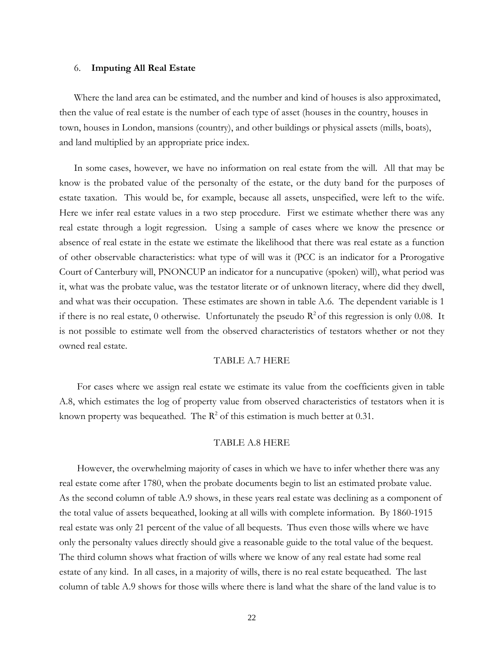#### 6. **Imputing All Real Estate**

Where the land area can be estimated, and the number and kind of houses is also approximated, then the value of real estate is the number of each type of asset (houses in the country, houses in town, houses in London, mansions (country), and other buildings or physical assets (mills, boats), and land multiplied by an appropriate price index.

In some cases, however, we have no information on real estate from the will. All that may be know is the probated value of the personalty of the estate, or the duty band for the purposes of estate taxation. This would be, for example, because all assets, unspecified, were left to the wife. Here we infer real estate values in a two step procedure. First we estimate whether there was any real estate through a logit regression. Using a sample of cases where we know the presence or absence of real estate in the estate we estimate the likelihood that there was real estate as a function of other observable characteristics: what type of will was it (PCC is an indicator for a Prorogative Court of Canterbury will, PNONCUP an indicator for a nuncupative (spoken) will), what period was it, what was the probate value, was the testator literate or of unknown literacy, where did they dwell, and what was their occupation. These estimates are shown in table A.6. The dependent variable is 1 if there is no real estate, 0 otherwise. Unfortunately the pseudo  $R^2$  of this regression is only 0.08. It is not possible to estimate well from the observed characteristics of testators whether or not they owned real estate.

#### TABLE A.7 HERE

 For cases where we assign real estate we estimate its value from the coefficients given in table A.8, which estimates the log of property value from observed characteristics of testators when it is known property was bequeathed. The  $R^2$  of this estimation is much better at 0.31.

#### TABLE A.8 HERE

However, the overwhelming majority of cases in which we have to infer whether there was any real estate come after 1780, when the probate documents begin to list an estimated probate value. As the second column of table A.9 shows, in these years real estate was declining as a component of the total value of assets bequeathed, looking at all wills with complete information. By 1860-1915 real estate was only 21 percent of the value of all bequests. Thus even those wills where we have only the personalty values directly should give a reasonable guide to the total value of the bequest. The third column shows what fraction of wills where we know of any real estate had some real estate of any kind. In all cases, in a majority of wills, there is no real estate bequeathed. The last column of table A.9 shows for those wills where there is land what the share of the land value is to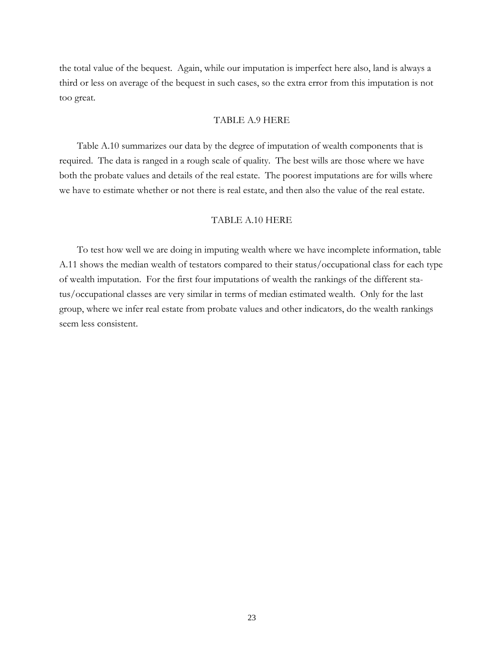the total value of the bequest. Again, while our imputation is imperfect here also, land is always a third or less on average of the bequest in such cases, so the extra error from this imputation is not too great.

#### TABLE A.9 HERE

 Table A.10 summarizes our data by the degree of imputation of wealth components that is required. The data is ranged in a rough scale of quality. The best wills are those where we have both the probate values and details of the real estate. The poorest imputations are for wills where we have to estimate whether or not there is real estate, and then also the value of the real estate.

#### TABLE A.10 HERE

 To test how well we are doing in imputing wealth where we have incomplete information, table A.11 shows the median wealth of testators compared to their status/occupational class for each type of wealth imputation. For the first four imputations of wealth the rankings of the different status/occupational classes are very similar in terms of median estimated wealth. Only for the last group, where we infer real estate from probate values and other indicators, do the wealth rankings seem less consistent.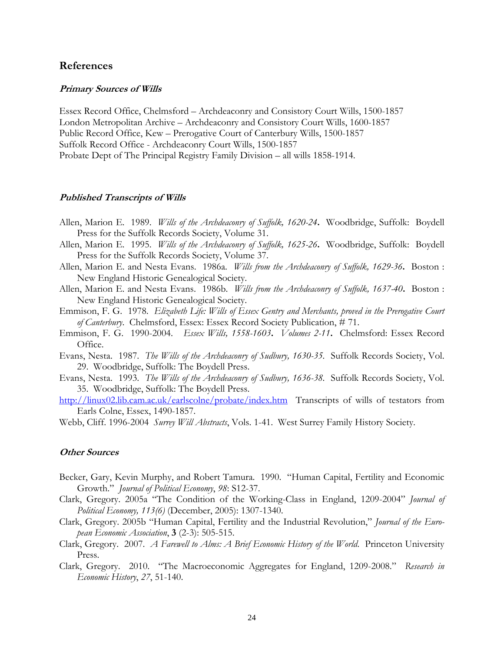#### **References**

#### **Primary Sources of Wills**

Essex Record Office, Chelmsford – Archdeaconry and Consistory Court Wills, 1500-1857 London Metropolitan Archive – Archdeaconry and Consistory Court Wills, 1600-1857 Public Record Office, Kew – Prerogative Court of Canterbury Wills, 1500-1857 Suffolk Record Office - Archdeaconry Court Wills, 1500-1857 Probate Dept of The Principal Registry Family Division – all wills 1858-1914.

#### **Published Transcripts of Wills**

- Allen, Marion E. 1989. *Wills of the Archdeaconry of Suffolk, 1620-24***.** Woodbridge, Suffolk: Boydell Press for the Suffolk Records Society, Volume 31.
- Allen, Marion E. 1995. *Wills of the Archdeaconry of Suffolk, 1625-26***.** Woodbridge, Suffolk: Boydell Press for the Suffolk Records Society, Volume 37.
- Allen, Marion E. and Nesta Evans. 1986a. *Wills from the Archdeaconry of Suffolk, 1629-36***.** Boston : New England Historic Genealogical Society.
- Allen, Marion E. and Nesta Evans. 1986b. *Wills from the Archdeaconry of Suffolk, 1637-40***.** Boston : New England Historic Genealogical Society.
- Emmison, F. G. 1978. *Elizabeth Life: Wills of Essex Gentry and Merchants, proved in the Prerogative Court of Canterbury*. Chelmsford, Essex: Essex Record Society Publication, # 71.
- Emmison, F. G. 1990-2004. *Essex Wills, 1558-1603***.** *Volumes 2-11***.** Chelmsford: Essex Record Office.
- Evans, Nesta. 1987. *The Wills of the Archdeaconry of Sudbury, 1630-35.* Suffolk Records Society, Vol. 29. Woodbridge, Suffolk: The Boydell Press.
- Evans, Nesta. 1993. *The Wills of the Archdeaconry of Sudbury, 1636-38.* Suffolk Records Society, Vol. 35. Woodbridge, Suffolk: The Boydell Press.
- http://linux02.lib.cam.ac.uk/earlscolne/probate/index.htm Transcripts of wills of testators from Earls Colne, Essex, 1490-1857.
- Webb, Cliff. 1996-2004 *Surrey Will Abstracts*, Vols. 1-41. West Surrey Family History Society.

#### **Other Sources**

- Becker, Gary, Kevin Murphy, and Robert Tamura. 1990. "Human Capital, Fertility and Economic Growth." *Journal of Political Economy*, *98*: S12-37.
- Clark, Gregory. 2005a "The Condition of the Working-Class in England, 1209-2004" *Journal of Political Economy, 113(6)* (December, 2005): 1307-1340.
- Clark, Gregory. 2005b "Human Capital, Fertility and the Industrial Revolution," *Journal of the European Economic Association*, **3** (2-3): 505-515.
- Clark, Gregory. 2007. *A Farewell to Alms: A Brief Economic History of the World*. Princeton University Press.
- Clark, Gregory. 2010. "The Macroeconomic Aggregates for England, 1209-2008." *Research in Economic History*, *27*, 51-140.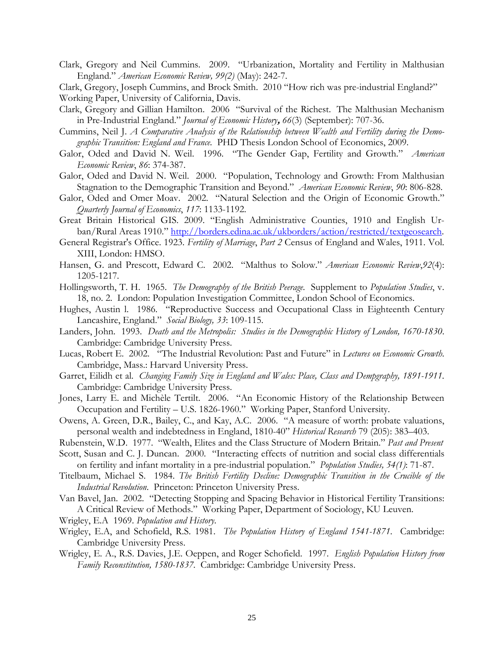Clark, Gregory and Neil Cummins. 2009. "Urbanization, Mortality and Fertility in Malthusian England." *American Economic Review, 99(2)* (May): 242-7.

Clark, Gregory, Joseph Cummins, and Brock Smith. 2010 "How rich was pre-industrial England?" Working Paper, University of California, Davis.

- Clark, Gregory and Gillian Hamilton. 2006 "Survival of the Richest. The Malthusian Mechanism in Pre-Industrial England." *Journal of Economic History***,** *66*(3) (September): 707-36.
- Cummins, Neil J. *A Comparative Analysis of the Relationship between Wealth and Fertility during the Demographic Transition: England and France.* PHD Thesis London School of Economics, 2009.
- Galor, Oded and David N. Weil. 1996. "The Gender Gap, Fertility and Growth." *American Economic Review*, *86*: 374-387.
- Galor, Oded and David N. Weil. 2000. "Population, Technology and Growth: From Malthusian Stagnation to the Demographic Transition and Beyond." *American Economic Review*, *90*: 806-828.
- Galor, Oded and Omer Moav. 2002. "Natural Selection and the Origin of Economic Growth." *Quarterly Journal of Economics*, *117*: 1133-1192.
- Great Britain Historical GIS. 2009. "English Administrative Counties, 1910 and English Urban/Rural Areas 1910." http://borders.edina.ac.uk/ukborders/action/restricted/textgeosearch.
- General Registrar's Office. 1923. *Fertility of Marriage*, *Part 2* Census of England and Wales, 1911. Vol. XIII, London: HMSO.
- Hansen, G. and Prescott, Edward C. 2002. "Malthus to Solow." *American Economic Review*,*92*(4): 1205-1217*.*
- Hollingsworth, T. H. 1965. *The Demography of the British Peerage*. Supplement to *Population Studies*, v. 18, no. 2. London: Population Investigation Committee, London School of Economics.
- Hughes, Austin l. 1986. "Reproductive Success and Occupational Class in Eighteenth Century Lancashire, England." *Social Biology, 33*: 109-115.
- Landers, John. 1993. *Death and the Metropolis: Studies in the Demographic History of London, 1670-1830*. Cambridge: Cambridge University Press.
- Lucas, Robert E. 2002. "The Industrial Revolution: Past and Future" in *Lectures on Economic Growth*. Cambridge, Mass.: Harvard University Press.
- Garret, Eilidh et al. *Changing Family Size in England and Wales: Place, Class and Dempgraphy, 1891-1911.*  Cambridge: Cambridge University Press.
- Jones, Larry E. and Michèle Tertilt. 2006. "An Economic History of the Relationship Between Occupation and Fertility – U.S. 1826-1960." Working Paper, Stanford University.
- Owens, A. Green, D.R., Bailey, C., and Kay, A.C. 2006. "A measure of worth: probate valuations, personal wealth and indebtedness in England, 1810-40" *Historical Research* 79 (205): 383–403.
- Rubenstein, W.D. 1977. "Wealth, Elites and the Class Structure of Modern Britain." *Past and Present*
- Scott, Susan and C. J. Duncan. 2000. "Interacting effects of nutrition and social class differentials on fertility and infant mortality in a pre-industrial population." *Population Studies, 54(1)*: 71-87.
- Titelbaum, Michael S. 1984. *The British Fertility Decline: Demographic Transition in the Crucible of the Industrial Revolution*. Princeton: Princeton University Press.
- Van Bavel, Jan. 2002. "Detecting Stopping and Spacing Behavior in Historical Fertility Transitions: A Critical Review of Methods." Working Paper, Department of Sociology, KU Leuven.
- Wrigley, E.A 1969. *Population and History*.
- Wrigley, E.A, and Schofield, R.S. 1981. *The Population History of England 1541-1871*. Cambridge: Cambridge University Press.
- Wrigley, E. A., R.S. Davies, J.E. Oeppen, and Roger Schofield. 1997. *English Population History from Family Reconstitution, 1580-1837.* Cambridge: Cambridge University Press.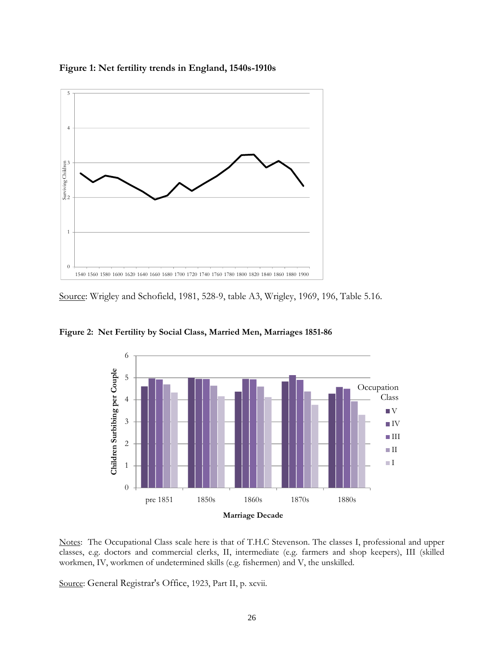



Source: Wrigley and Schofield, 1981, 528-9, table A3, Wrigley, 1969, 196, Table 5.16.



**Figure 2: Net Fertility by Social Class, Married Men, Marriages 1851-86**

Notes: The Occupational Class scale here is that of T.H.C Stevenson. The classes I, professional and upper classes, e.g. doctors and commercial clerks, II, intermediate (e.g. farmers and shop keepers), III (skilled workmen, IV, workmen of undetermined skills (e.g. fishermen) and V, the unskilled.

Source: General Registrar's Office, 1923, Part II, p. xcvii.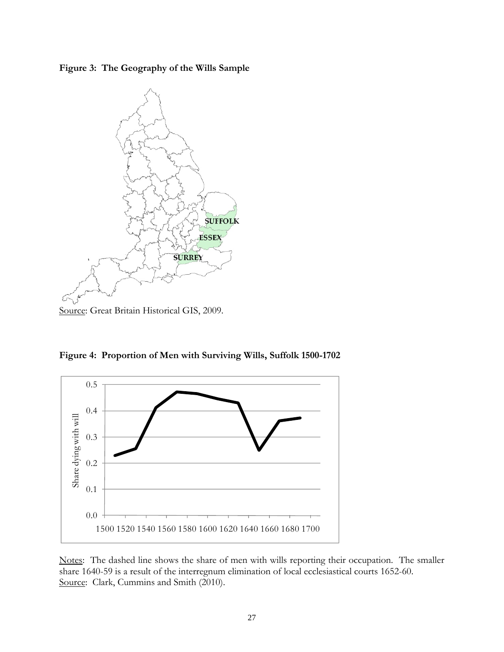**Figure 3: The Geography of the Wills Sample** 



Source: Great Britain Historical GIS, 2009.

**Figure 4: Proportion of Men with Surviving Wills, Suffolk 1500-1702** 



Notes: The dashed line shows the share of men with wills reporting their occupation. The smaller share 1640-59 is a result of the interregnum elimination of local ecclesiastical courts 1652-60. Source: Clark, Cummins and Smith (2010).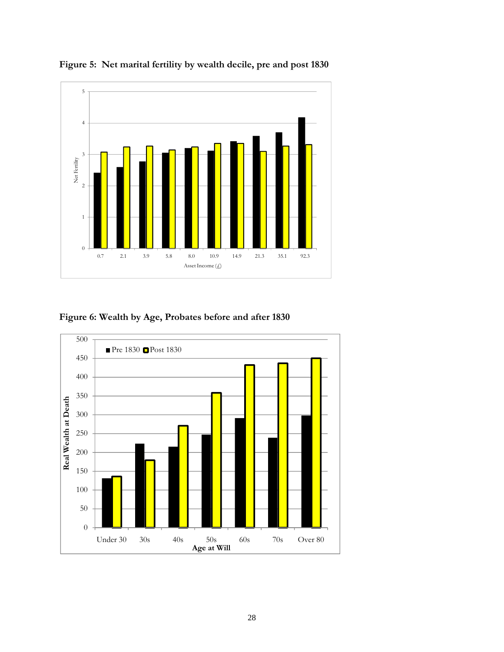

**Figure 5: Net marital fertility by wealth decile, pre and post 1830** 

### **Figure 6: Wealth by Age, Probates before and after 1830**

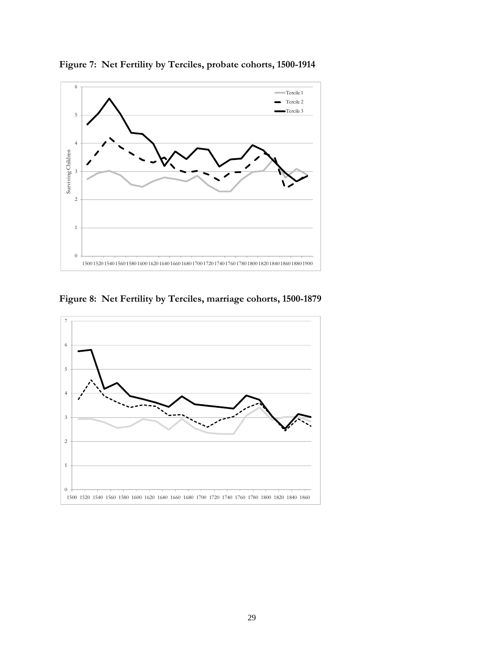

**Figure 7: Net Fertility by Terciles, probate cohorts, 1500-1914**

**Figure 8: Net Fertility by Terciles, marriage cohorts, 1500-1879**

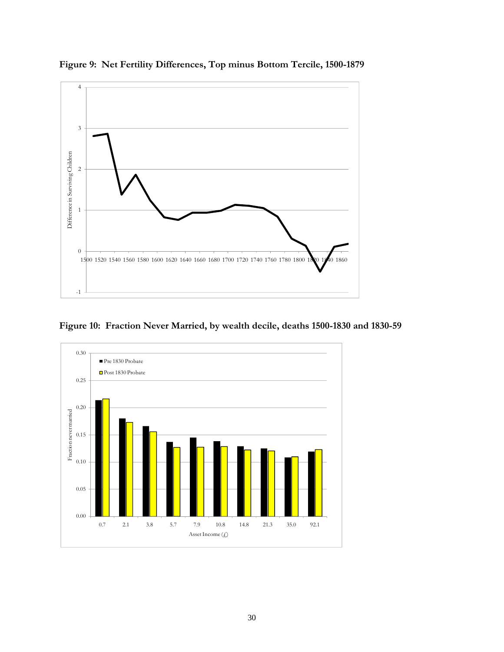

**Figure 9: Net Fertility Differences, Top minus Bottom Tercile, 1500-1879** 

**Figure 10: Fraction Never Married, by wealth decile, deaths 1500-1830 and 1830-59** 

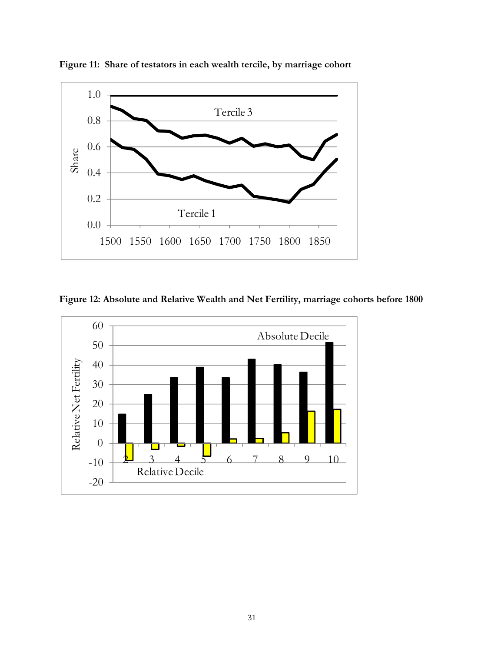

**Figure 11: Share of testators in each wealth tercile, by marriage cohort** 

**Figure 12: Absolute and Relative Wealth and Net Fertility, marriage cohorts before 1800** 

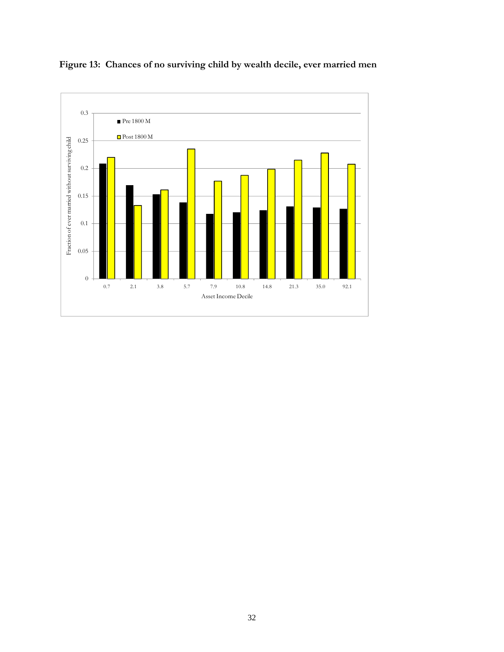

### **Figure 13: Chances of no surviving child by wealth decile, ever married men**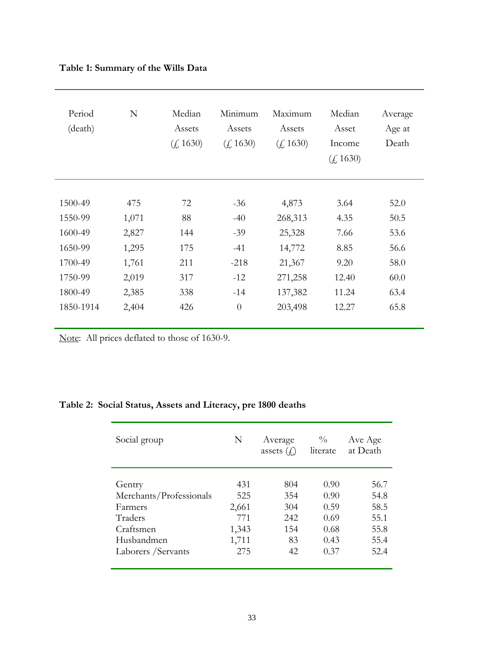### **Table 1: Summary of the Wills Data**

| Period<br>(death) | N     | Median<br>Assets<br>(f. 1630) | Minimum<br>Assets<br>(f. 1630) | Maximum<br>Assets<br>(f. 1630) | Median<br>Asset<br>Income<br>(f. 1630) | Average<br>Age at<br>Death |
|-------------------|-------|-------------------------------|--------------------------------|--------------------------------|----------------------------------------|----------------------------|
|                   |       |                               |                                |                                |                                        |                            |
| 1500-49           | 475   | 72                            | $-36$                          | 4,873                          | 3.64                                   | 52.0                       |
| 1550-99           | 1,071 | 88                            | $-40$                          | 268,313                        | 4.35                                   | 50.5                       |
| 1600-49           | 2,827 | 144                           | $-39$                          | 25,328                         | 7.66                                   | 53.6                       |
| 1650-99           | 1,295 | 175                           | $-41$                          | 14,772                         | 8.85                                   | 56.6                       |
| 1700-49           | 1,761 | 211                           | $-218$                         | 21,367                         | 9.20                                   | 58.0                       |
| 1750-99           | 2,019 | 317                           | $-12$                          | 271,258                        | 12.40                                  | 60.0                       |
| 1800-49           | 2,385 | 338                           | $-14$                          | 137,382                        | 11.24                                  | 63.4                       |
| 1850-1914         | 2,404 | 426                           | $\overline{0}$                 | 203,498                        | 12.27                                  | 65.8                       |

Note: All prices deflated to those of 1630-9.

## **Table 2: Social Status, Assets and Literacy, pre 1800 deaths**

| Social group            | N     | Average<br>assets $(f)$ | $\frac{0}{0}$<br>literate | Ave Age<br>at Death |
|-------------------------|-------|-------------------------|---------------------------|---------------------|
|                         |       |                         |                           |                     |
| Gentry                  | 431   | 804                     | 0.90                      | 56.7                |
| Merchants/Professionals | 525   | 354                     | 0.90                      | 54.8                |
| Farmers                 | 2,661 | 304                     | 0.59                      | 58.5                |
| Traders                 | 771   | 242                     | 0.69                      | 55.1                |
| Craftsmen               | 1,343 | 154                     | 0.68                      | 55.8                |
| Husbandmen              | 1,711 | 83                      | 0.43                      | 55.4                |
| Laborers / Servants     | 275   | 42                      | 0.37                      | 52.4                |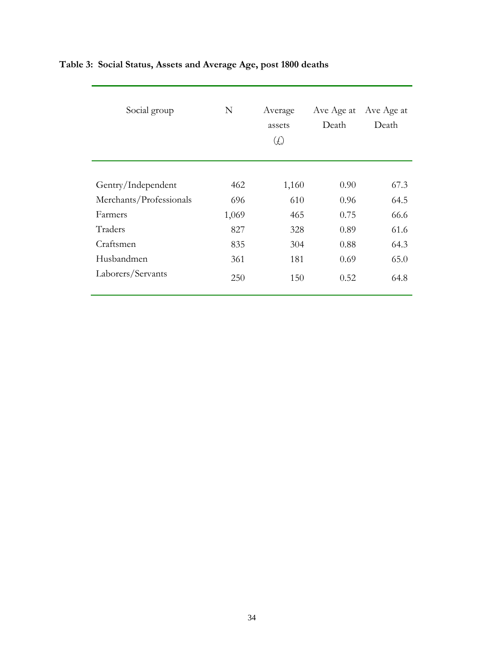| Social group            | N     | Average<br>assets<br>$\left(\begin{smallmatrix} \mathcal{L} \end{smallmatrix}\right)$ | Ave Age at<br>Death | Ave Age at<br>Death |
|-------------------------|-------|---------------------------------------------------------------------------------------|---------------------|---------------------|
|                         |       |                                                                                       |                     |                     |
| Gentry/Independent      | 462   | 1,160                                                                                 | 0.90                | 67.3                |
| Merchants/Professionals | 696   | 610                                                                                   | 0.96                | 64.5                |
| Farmers                 | 1,069 | 465                                                                                   | 0.75                | 66.6                |
| Traders                 | 827   | 328                                                                                   | 0.89                | 61.6                |
| Craftsmen               | 835   | 304                                                                                   | 0.88                | 64.3                |
| Husbandmen              | 361   | 181                                                                                   | 0.69                | 65.0                |
| Laborers/Servants       | 250   | 150                                                                                   | 0.52                | 64.8                |

# **Table 3: Social Status, Assets and Average Age, post 1800 deaths**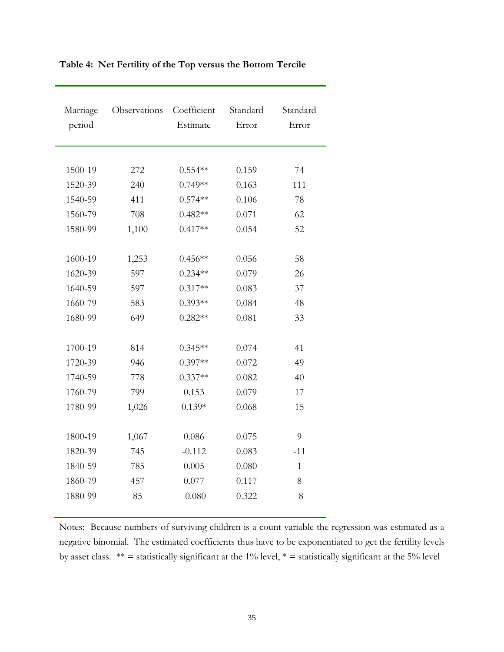| Marriage<br>period | Observations | Coefficient<br>Estimate | Standard<br>Error | Standard<br>Error |
|--------------------|--------------|-------------------------|-------------------|-------------------|
|                    |              |                         |                   |                   |
| 1500-19            | 272          | $0.554**$               | 0.159             | 74                |
| 1520-39            | 240          | $0.749**$               | 0.163             | 111               |
| 1540-59            | 411          | $0.574**$               | 0.106             | 78                |
| 1560-79            | 708          | $0.482**$               | 0.071             | 62                |
| 1580-99            | 1,100        | $0.417**$               | 0.054             | 52                |
|                    |              |                         |                   |                   |
| 1600-19            | 1,253        | $0.456**$               | 0.056             | 58                |
| 1620-39            | 597          | $0.234**$               | 0.079             | 26                |
| 1640-59            | 597          | $0.317**$               | 0.083             | 37                |
| 1660-79            | 583          | $0.393**$               | 0.084             | 48                |
| 1680-99            | 649          | $0.282**$               | 0.081             | 33                |
|                    |              |                         |                   |                   |
| 1700-19            | 814          | $0.345**$               | 0.074             | 41                |
| 1720-39            | 946          | $0.397**$               | 0.072             | 49                |
| 1740-59            | 778          | $0.337**$               | 0.082             | 40                |
| 1760-79            | 799          | 0.153                   | 0.079             | 17                |
| 1780-99            | 1,026        | $0.139*$                | 0.068             | 15                |
|                    |              |                         |                   |                   |
| 1800-19            | 1,067        | 0.086                   | 0.075             | 9                 |
| 1820-39            | 745          | $-0.112$                | 0.083             | $-11$             |
| 1840-59            | 785          | 0.005                   | 0.080             | 1                 |
| 1860-79            | 457          | 0.077                   | 0.117             | 8                 |
| 1880-99            | 85           | $-0.080$                | 0.322             | $-8$              |
|                    |              |                         |                   |                   |

**Table 4: Net Fertility of the Top versus the Bottom Tercile** 

Notes: Because numbers of surviving children is a count variable the regression was estimated as a negative binomial. The estimated coefficients thus have to be exponentiated to get the fertility levels by asset class.  $** =$  statistically significant at the 1% level,  $* =$  statistically significant at the 5% level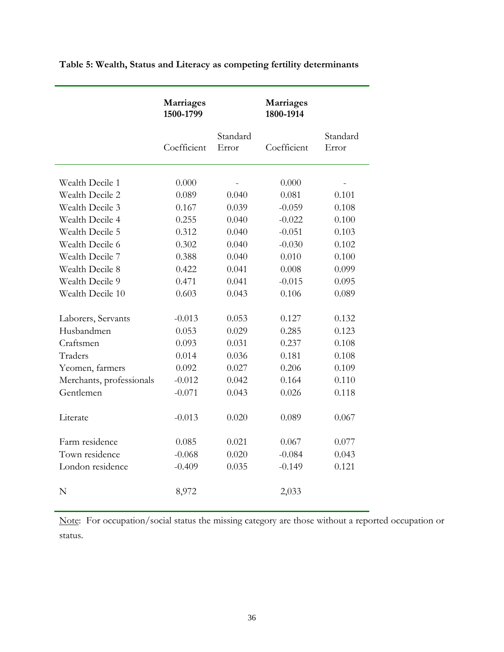|                          | Marriages<br>1500-1799 |                   | Marriages<br>1800-1914 |                   |
|--------------------------|------------------------|-------------------|------------------------|-------------------|
|                          | Coefficient            | Standard<br>Error | Coefficient            | Standard<br>Error |
| Wealth Decile 1          | 0.000                  |                   | 0.000                  |                   |
| Wealth Decile 2          | 0.089                  | 0.040             | 0.081                  | 0.101             |
| Wealth Decile 3          | 0.167                  | 0.039             | $-0.059$               | 0.108             |
| Wealth Decile 4          | 0.255                  | 0.040             | $-0.022$               | 0.100             |
| Wealth Decile 5          | 0.312                  | 0.040             | $-0.051$               | 0.103             |
| Wealth Decile 6          | 0.302                  | 0.040             | $-0.030$               | 0.102             |
| Wealth Decile 7          | 0.388                  | 0.040             | 0.010                  | 0.100             |
| Wealth Decile 8          | 0.422                  | 0.041             | 0.008                  | 0.099             |
| Wealth Decile 9          | 0.471                  | 0.041             | $-0.015$               | 0.095             |
| Wealth Decile 10         | 0.603                  | 0.043             | 0.106                  | 0.089             |
| Laborers, Servants       | $-0.013$               | 0.053             | 0.127                  | 0.132             |
| Husbandmen               | 0.053                  | 0.029             | 0.285                  | 0.123             |
| Craftsmen                | 0.093                  | 0.031             | 0.237                  | 0.108             |
| Traders                  | 0.014                  | 0.036             | 0.181                  | 0.108             |
| Yeomen, farmers          | 0.092                  | 0.027             | 0.206                  | 0.109             |
| Merchants, professionals | $-0.012$               | 0.042             | 0.164                  | 0.110             |
| Gentlemen                | $-0.071$               | 0.043             | 0.026                  | 0.118             |
| Literate                 | $-0.013$               | 0.020             | 0.089                  | 0.067             |
| Farm residence           | 0.085                  | 0.021             | 0.067                  | 0.077             |
| Town residence           | $-0.068$               | 0.020             | $-0.084$               | 0.043             |
| London residence         | $-0.409$               | 0.035             | $-0.149$               | 0.121             |
| N                        | 8,972                  |                   | 2,033                  |                   |

**Table 5: Wealth, Status and Literacy as competing fertility determinants** 

Note: For occupation/social status the missing category are those without a reported occupation or status.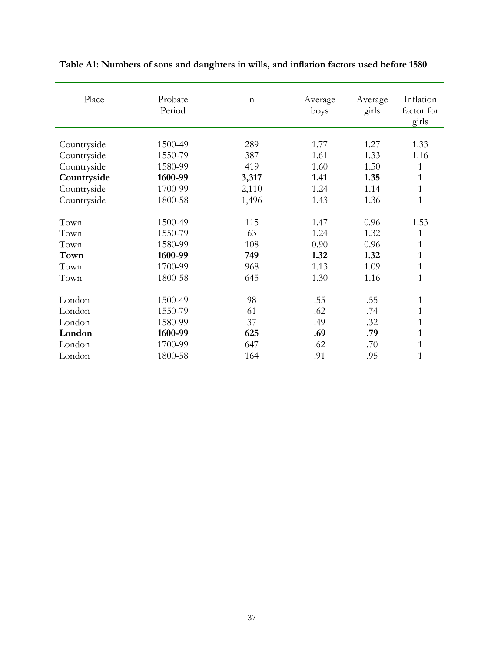| Place       | Probate<br>Period | $\mathbf n$ | Average<br>boys | Average<br>girls | Inflation<br>factor for<br>girls |
|-------------|-------------------|-------------|-----------------|------------------|----------------------------------|
|             |                   | 289         | 1.77            | 1.27             | 1.33                             |
| Countryside | 1500-49           |             | 1.61            |                  | 1.16                             |
| Countryside | 1550-79           | 387         |                 | 1.33             |                                  |
| Countryside | 1580-99           | 419         | 1.60            | 1.50             | 1                                |
| Countryside | 1600-99           | 3,317       | 1.41            | 1.35             | $\mathbf{1}$                     |
| Countryside | 1700-99           | 2,110       | 1.24            | 1.14             | $\mathbf{1}$                     |
| Countryside | 1800-58           | 1,496       | 1.43            | 1.36             | $\mathbf{1}$                     |
| Town        | 1500-49           | 115         | 1.47            | 0.96             | 1.53                             |
| Town        | 1550-79           | 63          | 1.24            | 1.32             | $\mathbf{1}$                     |
| Town        | 1580-99           | 108         | 0.90            | 0.96             | $\mathbf{1}$                     |
| Town        | 1600-99           | 749         | 1.32            | 1.32             | $\mathbf{1}$                     |
| Town        | 1700-99           | 968         | 1.13            | 1.09             | $\mathbf{1}$                     |
| Town        | 1800-58           | 645         | 1.30            | 1.16             | $\mathbf{1}$                     |
| London      | 1500-49           | 98          | .55             | .55              | $\mathbf{1}$                     |
| London      | 1550-79           | 61          | .62             | .74              | $\mathbf{1}$                     |
| London      | 1580-99           | 37          | .49             | .32              | $\mathbf{1}$                     |
| London      | 1600-99           | 625         | .69             | .79              | $\mathbf{1}$                     |
| London      | 1700-99           | 647         | .62             | .70              | $\mathbf{1}$                     |
| London      | 1800-58           | 164         | .91             | .95              | $\mathbf{1}$                     |

**Table A1: Numbers of sons and daughters in wills, and inflation factors used before 1580**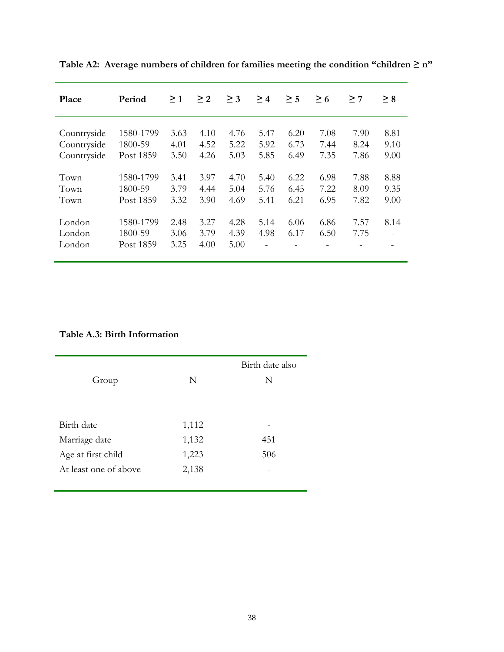| Place                      | Period                            | $\geq 1$             | $\geq$ 2             | $\geq$ 3             | $\geq 4$     | $\geq$ 5     | $\geq 6$     | $\geq 7$     | $\geq 8$ |
|----------------------------|-----------------------------------|----------------------|----------------------|----------------------|--------------|--------------|--------------|--------------|----------|
| Countryside                | 1580-1799                         | 3.63                 | 4.10                 | 4.76                 | 5.47         | 6.20         | 7.08         | 7.90         | 8.81     |
| Countryside                | 1800-59                           | 4.01                 | 4.52                 | 5.22                 | 5.92         | 6.73         | 7.44         | 8.24         | 9.10     |
| Countryside                | Post 1859                         | 3.50                 | 4.26                 | 5.03                 | 5.85         | 6.49         | 7.35         | 7.86         | 9.00     |
| Town                       | 1580-1799                         | 3.41                 | 3.97                 | 4.70                 | 5.40         | 6.22         | 6.98         | 7.88         | 8.88     |
| Town                       | 1800-59                           | 3.79                 | 4.44                 | 5.04                 | 5.76         | 6.45         | 7.22         | 8.09         | 9.35     |
| Town                       | Post 1859                         | 3.32                 | 3.90                 | 4.69                 | 5.41         | 6.21         | 6.95         | 7.82         | 9.00     |
| London<br>London<br>London | 1580-1799<br>1800-59<br>Post 1859 | 2.48<br>3.06<br>3.25 | 3.27<br>3.79<br>4.00 | 4.28<br>4.39<br>5.00 | 5.14<br>4.98 | 6.06<br>6.17 | 6.86<br>6.50 | 7.57<br>7.75 | 8.14     |

Table A2: Average numbers of children for families meeting the condition "children  $\geq$  n"

### **Table A.3: Birth Information**

| Group                 | N     | Birth date also<br>N |
|-----------------------|-------|----------------------|
| Birth date            | 1,112 |                      |
| Marriage date         | 1,132 | 451                  |
| Age at first child    | 1,223 | 506                  |
| At least one of above | 2,138 |                      |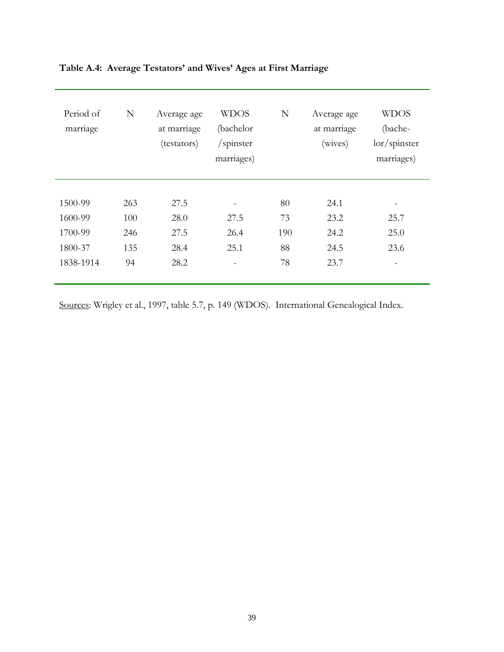| Period of<br>marriage | N          | Average age<br>at marriage<br>(testators) | <b>WDOS</b><br>(bachelor<br>/spinster<br>marriages) | N         | Average age<br>at marriage<br>(wives) | <b>WDOS</b><br>(bache-<br>$\frac{lor}{spinstein}$<br>marriages) |
|-----------------------|------------|-------------------------------------------|-----------------------------------------------------|-----------|---------------------------------------|-----------------------------------------------------------------|
| 1500-99               | 263        | 27.5                                      |                                                     | 80        | 24.1                                  | -                                                               |
| 1600-99               | 100        | 28.0                                      | 27.5                                                | 73        | 23.2                                  | 25.7                                                            |
| 1700-99<br>1800-37    | 246<br>135 | 27.5<br>28.4                              | 26.4<br>25.1                                        | 190<br>88 | 24.2<br>24.5                          | 25.0<br>23.6                                                    |
| 1838-1914             | 94         | 28.2                                      |                                                     | 78        | 23.7                                  |                                                                 |

### **Table A.4: Average Testators' and Wives' Ages at First Marriage**

Sources: Wrigley et al., 1997, table 5.7, p. 149 (WDOS). International Genealogical Index.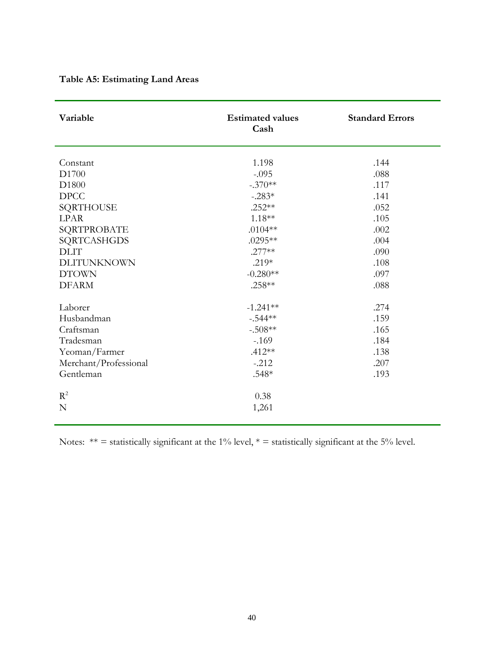| Variable              | <b>Estimated values</b><br>Cash | <b>Standard Errors</b> |
|-----------------------|---------------------------------|------------------------|
|                       |                                 |                        |
| Constant              | 1.198                           | .144                   |
| D1700                 | $-.095$                         | .088                   |
| D1800                 | $-.370**$                       | .117                   |
| <b>DPCC</b>           | $-.283*$                        | .141                   |
| SQRTHOUSE             | $.252**$                        | .052                   |
| <b>LPAR</b>           | $1.18**$                        | .105                   |
| SQRTPROBATE           | $.0104**$                       | .002                   |
| SQRTCASHGDS           | .0295**                         | .004                   |
| <b>DLIT</b>           | $.277**$                        | .090                   |
| <b>DLITUNKNOWN</b>    | $.219*$                         | .108                   |
| <b>DTOWN</b>          | $-0.280**$                      | .097                   |
| <b>DFARM</b>          | .258**                          | .088                   |
| Laborer               | $-1.241**$                      | .274                   |
| Husbandman            | $-.544**$                       | .159                   |
| Craftsman             | $-.508**$                       | .165                   |
| Tradesman             | $-169$                          | .184                   |
| Yeoman/Farmer         | $.412**$                        | .138                   |
| Merchant/Professional | $-.212$                         | .207                   |
| Gentleman             | .548*                           | .193                   |
| $R^2$                 | 0.38                            |                        |
| N                     | 1,261                           |                        |

## **Table A5: Estimating Land Areas**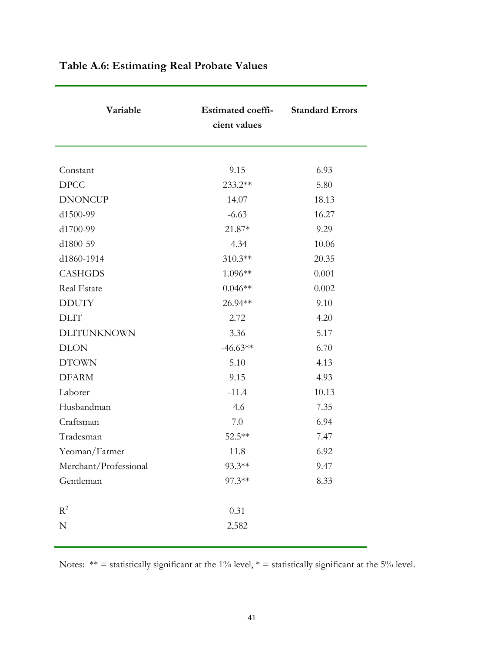| Variable              | <b>Estimated coeffi-</b><br>cient values | <b>Standard Errors</b> |
|-----------------------|------------------------------------------|------------------------|
|                       |                                          |                        |
| Constant              | 9.15                                     | 6.93                   |
| <b>DPCC</b>           | 233.2**                                  | 5.80                   |
| <b>DNONCUP</b>        | 14.07                                    | 18.13                  |
| d1500-99              | $-6.63$                                  | 16.27                  |
| d1700-99              | $21.87*$                                 | 9.29                   |
| d1800-59              | $-4.34$                                  | 10.06                  |
| d1860-1914            | 310.3**                                  | 20.35                  |
| <b>CASHGDS</b>        | 1.096**                                  | 0.001                  |
| Real Estate           | $0.046**$                                | 0.002                  |
| <b>DDUTY</b>          | 26.94**                                  | 9.10                   |
| <b>DLIT</b>           | 2.72                                     | 4.20                   |
| DLITUNKNOWN           | 3.36                                     | 5.17                   |
| <b>DLON</b>           | $-46.63**$                               | 6.70                   |
| <b>DTOWN</b>          | 5.10                                     | 4.13                   |
| <b>DFARM</b>          | 9.15                                     | 4.93                   |
| Laborer               | $-11.4$                                  | 10.13                  |
| Husbandman            | $-4.6$                                   | 7.35                   |
| Craftsman             | 7.0                                      | 6.94                   |
| Tradesman             | 52.5**                                   | 7.47                   |
| Yeoman/Farmer         | 11.8                                     | 6.92                   |
| Merchant/Professional | $93.3**$                                 | 9.47                   |
| Gentleman             | 97.3**                                   | 8.33                   |
| $R^2$                 | 0.31                                     |                        |
| ${\bf N}$             | 2,582                                    |                        |

# **Table A.6: Estimating Real Probate Values**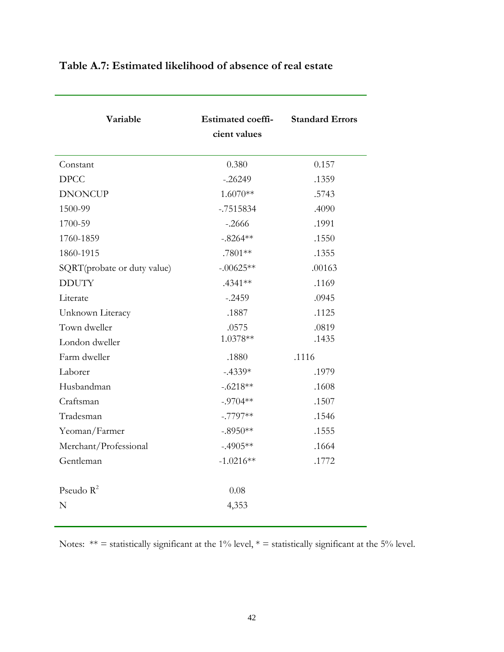| Variable                    | <b>Estimated coeffi-</b><br>cient values | <b>Standard Errors</b> |
|-----------------------------|------------------------------------------|------------------------|
| Constant                    | 0.380                                    | 0.157                  |
| <b>DPCC</b>                 | $-.26249$                                | .1359                  |
| <b>DNONCUP</b>              | $1.6070**$                               | .5743                  |
| 1500-99                     | $-.7515834$                              | .4090                  |
| 1700-59                     | $-.2666$                                 | .1991                  |
| 1760-1859                   | $-.8264**$                               | .1550                  |
| 1860-1915                   | .7801**                                  | .1355                  |
| SQRT(probate or duty value) | $-.00625**$                              | .00163                 |
| <b>DDUTY</b>                | .4341 **                                 | .1169                  |
| Literate                    | $-.2459$                                 | .0945                  |
| Unknown Literacy            | .1887                                    | .1125                  |
| Town dweller                | .0575                                    | .0819                  |
| London dweller              | 1.0378**                                 | .1435                  |
| Farm dweller                | .1880                                    | .1116                  |
| Laborer                     | $-.4339*$                                | .1979                  |
| Husbandman                  | $-.6218**$                               | .1608                  |
| Craftsman                   | $-.9704**$                               | .1507                  |
| Tradesman                   | $-.7797**$                               | .1546                  |
| Yeoman/Farmer               | $-.8950**$                               | .1555                  |
| Merchant/Professional       | $-.4905**$                               | .1664                  |
| Gentleman                   | $-1.0216**$                              | .1772                  |
| Pseudo $R^2$                | 0.08                                     |                        |
| N                           | 4,353                                    |                        |

## **Table A.7: Estimated likelihood of absence of real estate**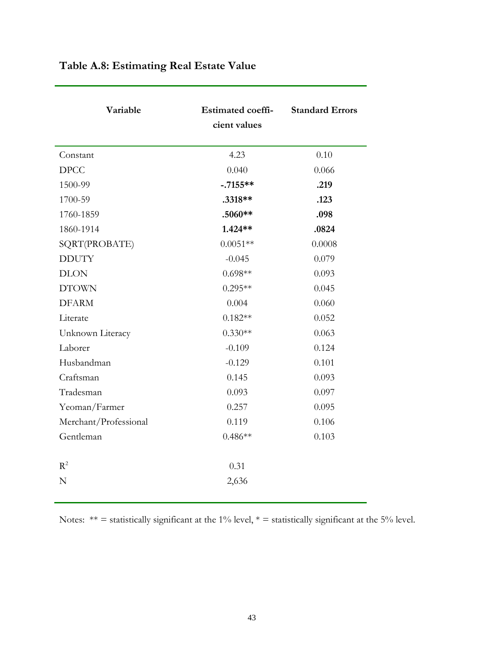| Variable              | <b>Estimated coeffi-</b><br>cient values | <b>Standard Errors</b> |  |
|-----------------------|------------------------------------------|------------------------|--|
| Constant              | 4.23                                     | 0.10                   |  |
| DPCC                  | 0.040                                    | 0.066                  |  |
| 1500-99               | $-.7155**$                               | .219                   |  |
| 1700-59               | .3318**                                  | .123                   |  |
| 1760-1859             | $.5060**$                                | .098                   |  |
| 1860-1914             | 1.424**                                  | .0824                  |  |
| SQRT(PROBATE)         | $0.0051**$                               | 0.0008                 |  |
| <b>DDUTY</b>          | $-0.045$                                 | 0.079                  |  |
| <b>DLON</b>           | $0.698**$                                | 0.093                  |  |
| <b>DTOWN</b>          | $0.295**$                                | 0.045                  |  |
| <b>DFARM</b>          | 0.004                                    | 0.060                  |  |
| Literate              | $0.182**$                                | 0.052                  |  |
| Unknown Literacy      | $0.330**$                                | 0.063                  |  |
| Laborer               | $-0.109$                                 | 0.124                  |  |
| Husbandman            | $-0.129$                                 | 0.101                  |  |
| Craftsman             | 0.145                                    | 0.093                  |  |
| Tradesman             | 0.093                                    | 0.097                  |  |
| Yeoman/Farmer         | 0.257                                    | 0.095                  |  |
| Merchant/Professional | 0.119                                    | 0.106                  |  |
| Gentleman             | $0.486**$                                | 0.103                  |  |
| $R^2$                 | 0.31                                     |                        |  |
| N                     | 2,636                                    |                        |  |

# **Table A.8: Estimating Real Estate Value**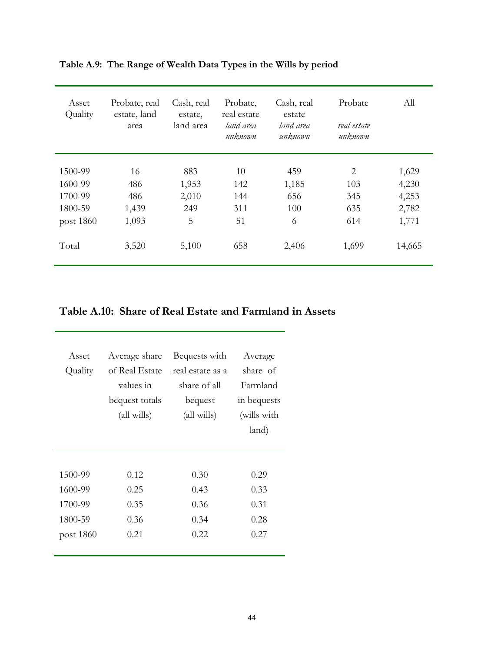| Asset<br>Quality | Probate, real<br>estate, land<br>area | Cash, real<br>estate,<br>land area | Probate,<br>real estate<br>land area<br>unknown | Cash, real<br>estate<br>land area<br>unknown | Probate<br>real estate<br>unknown | All    |
|------------------|---------------------------------------|------------------------------------|-------------------------------------------------|----------------------------------------------|-----------------------------------|--------|
|                  |                                       |                                    |                                                 |                                              |                                   |        |
| 1500-99          | 16                                    | 883                                | 10                                              | 459                                          | 2                                 | 1,629  |
| 1600-99          | 486                                   | 1,953                              | 142                                             | 1,185                                        | 103                               | 4,230  |
| 1700-99          | 486                                   | 2,010                              | 144                                             | 656                                          | 345                               | 4,253  |
| 1800-59          | 1,439                                 | 249                                | 311                                             | 100                                          | 635                               | 2,782  |
| post 1860        | 1,093                                 | 5                                  | 51                                              | 6                                            | 614                               | 1,771  |
| Total            | 3,520                                 | 5,100                              | 658                                             | 2,406                                        | 1,699                             | 14,665 |

## **Table A.9: The Range of Wealth Data Types in the Wills by period**

## **Table A.10: Share of Real Estate and Farmland in Assets**

| Asset     | Average share  | Bequests with    | Average     |  |
|-----------|----------------|------------------|-------------|--|
| Quality   | of Real Estate | real estate as a | share of    |  |
|           | values in      | share of all     | Farmland    |  |
|           | bequest totals | bequest          | in bequests |  |
|           | (all wills)    | (all wills)      | (wills with |  |
|           |                |                  | land)       |  |
|           |                |                  |             |  |
|           |                |                  |             |  |
| 1500-99   | 0.12           | 0.30             | 0.29        |  |
| 1600-99   | 0.25           | 0.43             | 0.33        |  |
| 1700-99   | 0.35           | 0.36             | 0.31        |  |
| 1800-59   | 0.36           | 0.34             | 0.28        |  |
| post 1860 | 0.21           | 0.22             | 0.27        |  |
|           |                |                  |             |  |